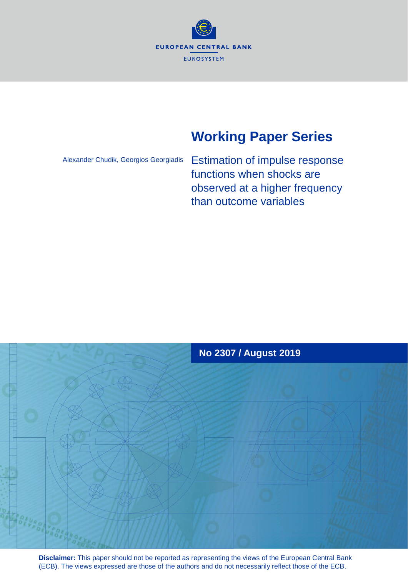

# **Working Paper Series**

Alexander Chudik, Georgios Georgiadis

Estimation of impulse response functions when shocks are observed at a higher frequency than outcome variables



**Disclaimer:** This paper should not be reported as representing the views of the European Central Bank (ECB). The views expressed are those of the authors and do not necessarily reflect those of the ECB.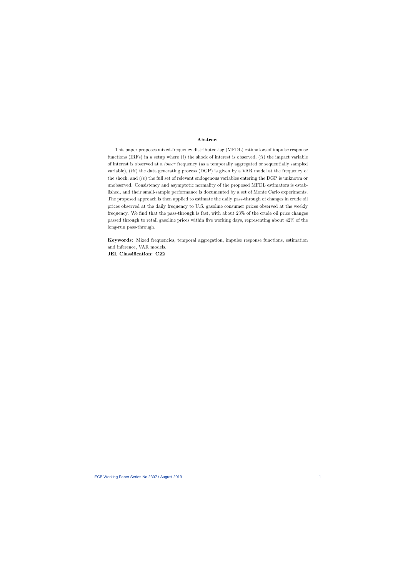### Abstract

This paper proposes mixed-frequency distributed-lag (MFDL) estimators of impulse response functions (IRFs) in a setup where  $(i)$  the shock of interest is observed,  $(ii)$  the impact variable of interest is observed at a lower frequency (as a temporally aggregated or sequentially sampled variable),  $(iii)$  the data generating process (DGP) is given by a VAR model at the frequency of the shock, and  $(iv)$  the full set of relevant endogenous variables entering the DGP is unknown or unobserved. Consistency and asymptotic normality of the proposed MFDL estimators is established, and their small-sample performance is documented by a set of Monte Carlo experiments. The proposed approach is then applied to estimate the daily pass-through of changes in crude oil prices observed at the daily frequency to U.S. gasoline consumer prices observed at the weekly frequency. We find that the pass-through is fast, with about 23% of the crude oil price changes passed through to retail gasoline prices within Öve working days, representing about 42% of the long-run pass-through.

Keywords: Mixed frequencies, temporal aggregation, impulse response functions, estimation and inference, VAR models. JEL Classification: C22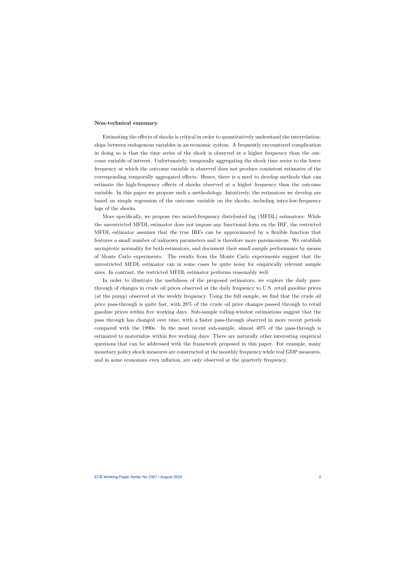### Non-technical summary

Estimating the effects of shocks is critical in order to quantitatively understand the interrelationships between endogenous variables in an economic system. A frequently encountered complication in doing so is that the time series of the shock is observed at a higher frequency than the outcome variable of interest. Unfortunately, temporally aggregating the shock time series to the lower frequency at which the outcome variable is observed does not produce consistent estimates of the corresponding temporally aggregated effects. Hence, there is a need to develop methods that can estimate the high-frequency effects of shocks observed at a higher frequency than the outcome variable. In this paper we propose such a methodology. Intuitively, the estimators we develop are based on simple regression of the outcome variable on the shocks, including intra-low-frequency lags of the shocks.

More specifically, we propose two mixed-frequency distributed lag (MFDL) estimators: While the unrestricted MFDL estimator does not impose any functional form on the IRF, the restricted MFDL estimator assumes that the true IRFs can be approximated by a áexible function that features a small number of unknown parameters and is therefore more parsimonious. We establish asymptotic normality for both estimators, and document their small sample performance by means of Monte Carlo experiments. The results from the Monte Carlo experiments suggest that the unrestricted MFDL estimator can in some cases be quite noisy for empirically relevant sample sizes. In contrast, the restricted MFDL estimator performs reasonably well.

In order to illustrate the usefulness of the proposed estimators, we explore the daily passthrough of changes in crude oil prices observed at the daily frequency to U.S. retail gasoline prices (at the pump) observed at the weekly frequency. Using the full sample, we find that the crude oil price pass-through is quite fast, with 28% of the crude oil price changes passed through to retail gasoline prices within Öve working days. Sub-sample rolling-window estimations suggest that the pass through has changed over time, with a faster pass-through observed in more recent periods compared with the 1990s. In the most recent sub-sample, almost 40% of the pass-through is estimated to materialize within five working days. There are naturally other interesting empirical questions that can be addressed with the framework proposed in this paper. For example, many monetary policy shock measures are constructed at the monthly frequency while real GDP measures, and in some economies even inflation, are only observed at the quarterly frequency.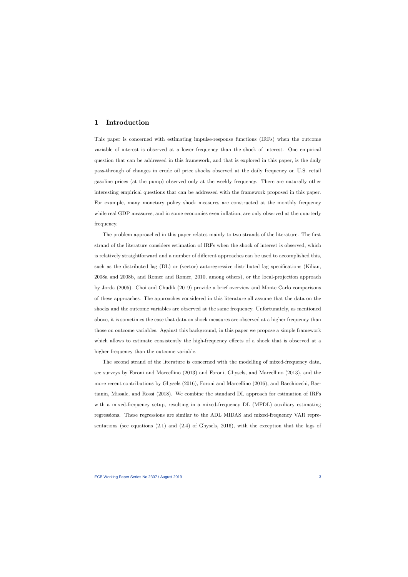# 1 Introduction

This paper is concerned with estimating impulse-response functions (IRFs) when the outcome variable of interest is observed at a lower frequency than the shock of interest. One empirical question that can be addressed in this framework, and that is explored in this paper, is the daily pass-through of changes in crude oil price shocks observed at the daily frequency on U.S. retail gasoline prices (at the pump) observed only at the weekly frequency. There are naturally other interesting empirical questions that can be addressed with the framework proposed in this paper. For example, many monetary policy shock measures are constructed at the monthly frequency while real GDP measures, and in some economies even inflation, are only observed at the quarterly frequency.

The problem approached in this paper relates mainly to two strands of the literature. The first strand of the literature considers estimation of IRFs when the shock of interest is observed, which is relatively straightforward and a number of different approaches can be used to accomplished this, such as the distributed lag (DL) or (vector) autoregressive distributed lag specifications (Kilian, 2008a and 2008b, and Romer and Romer, 2010, among others), or the local-projection approach by Jorda (2005). Choi and Chudik (2019) provide a brief overview and Monte Carlo comparisons of these approaches. The approaches considered in this literature all assume that the data on the shocks and the outcome variables are observed at the same frequency. Unfortunately, as mentioned above, it is sometimes the case that data on shock measures are observed at a higher frequency than those on outcome variables. Against this background, in this paper we propose a simple framework which allows to estimate consistently the high-frequency effects of a shock that is observed at a higher frequency than the outcome variable.

The second strand of the literature is concerned with the modelling of mixed-frequency data, see surveys by Foroni and Marcellino (2013) and Foroni, Ghysels, and Marcellino (2013), and the more recent contributions by Ghysels (2016), Foroni and Marcellino (2016), and Bacchiocchi, Bastianin, Missale, and Rossi (2018). We combine the standard DL approach for estimation of IRFs with a mixed-frequency setup, resulting in a mixed-frequency DL (MFDL) auxiliary estimating regressions. These regressions are similar to the ADL MIDAS and mixed-frequency VAR representations (see equations (2.1) and (2.4) of Ghysels, 2016), with the exception that the lags of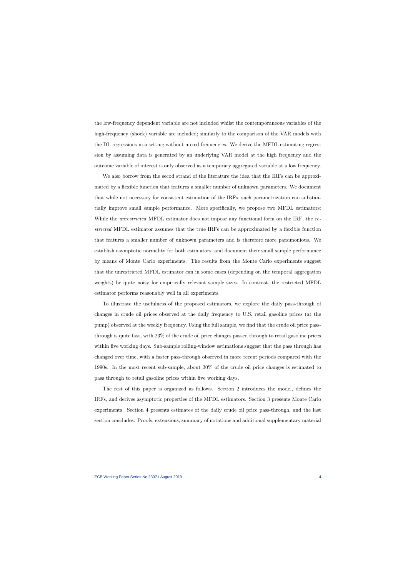the low-frequency dependent variable are not included whilst the contemporaneous variables of the high-frequency (shock) variable are included; similarly to the comparison of the VAR models with the DL regressions in a setting without mixed frequencies. We derive the MFDL estimating regression by assuming data is generated by an underlying VAR model at the high frequency and the outcome variable of interest is only observed as a temporary aggregated variable at a low frequency.

We also borrow from the secod strand of the literature the idea that the IRFs can be approximated by a flexible function that features a smaller number of unknown parameters. We document that while not necessary for consistent estimation of the IRFs, such parametrization can substantially improve small sample performance. More specifically, we propose two MFDL estimators: While the *unrestricted* MFDL estimator does not impose any functional form on the IRF, the restricted MFDL estimator assumes that the true IRFs can be approximated by a flexible function that features a smaller number of unknown parameters and is therefore more parsimonious. We establish asymptotic normality for both estimators, and document their small sample performance by means of Monte Carlo experiments. The results from the Monte Carlo experiments suggest that the unrestricted MFDL estimator can in some cases (depending on the temporal aggregation weights) be quite noisy for empirically relevant sample sizes. In contrast, the restricted MFDL estimator performs reasonably well in all experiments.

To illustrate the usefulness of the proposed estimators, we explore the daily pass-through of changes in crude oil prices observed at the daily frequency to U.S. retail gasoline prices (at the pump) observed at the weekly frequency. Using the full sample, we find that the crude oil price passthrough is quite fast, with 23% of the crude oil price changes passed through to retail gasoline prices within five working days. Sub-sample rolling-window estimations suggest that the pass through has changed over time, with a faster pass-through observed in more recent periods compared with the 1990s. In the most recent sub-sample, about 30% of the crude oil price changes is estimated to pass through to retail gasoline prices within five working days.

The rest of this paper is organized as follows. Section 2 introduces the model, defines the IRFs, and derives asymptotic properties of the MFDL estimators. Section 3 presents Monte Carlo experiments. Section 4 presents estimates of the daily crude oil price pass-through, and the last section concludes. Proofs, extensions, summary of notations and additional supplementary material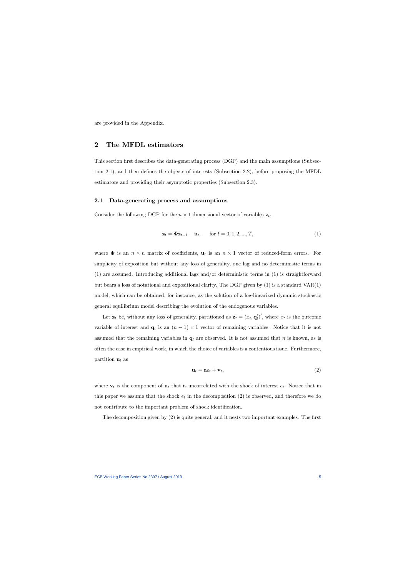are provided in the Appendix.

# 2 The MFDL estimators

This section first describes the data-generating process (DGP) and the main assumptions (Subsection 2.1), and then defines the objects of interests (Subsection 2.2), before proposing the MFDL estimators and providing their asymptotic properties (Subsection 2.3).

### 2.1 Data-generating process and assumptions

Consider the following DGP for the  $n \times 1$  dimensional vector of variables  $z_t$ ,

$$
\mathbf{z}_t = \mathbf{\Phi} \mathbf{z}_{t-1} + \mathbf{u}_t, \quad \text{for } t = 0, 1, 2, ..., T,
$$
 (1)

where  $\Phi$  is an  $n \times n$  matrix of coefficients,  $\mathbf{u}_t$  is an  $n \times 1$  vector of reduced-form errors. For simplicity of exposition but without any loss of generality, one lag and no deterministic terms in (1) are assumed. Introducing additional lags and/or deterministic terms in (1) is straightforward but bears a loss of notational and expositional clarity. The DGP given by (1) is a standard VAR(1) model, which can be obtained, for instance, as the solution of a log-linearized dynamic stochastic general equilibrium model describing the evolution of the endogenous variables.

Let  $\mathbf{z}_t$  be, without any loss of generality, partitioned as  $\mathbf{z}_t = (x_t, \mathbf{q}'_t)'$ , where  $x_t$  is the outcome variable of interest and  $\mathbf{q}_t$  is an  $(n-1) \times 1$  vector of remaining variables. Notice that it is not assumed that the remaining variables in  $q_t$  are observed. It is not assumed that n is known, as is often the case in empirical work, in which the choice of variables is a contentious issue. Furthermore, partition  $\mathbf{u}_t$  as

$$
\mathbf{u}_t = \mathbf{a}e_t + \mathbf{v}_t,\tag{2}
$$

where  $\mathbf{v}_t$  is the component of  $\mathbf{u}_t$  that is uncorrelated with the shock of interest  $e_t$ . Notice that in this paper we assume that the shock  $e_t$  in the decomposition (2) is observed, and therefore we do not contribute to the important problem of shock identification.

The decomposition given by (2) is quite general, and it nests two important examples. The first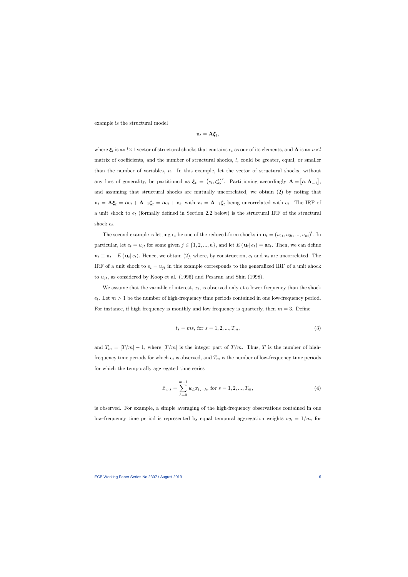example is the structural model

$$
\mathbf{u}_t = \mathbf{A}\boldsymbol{\xi}_t,
$$

where  $\xi_t$  is an  $l \times 1$  vector of structural shocks that contains  $e_t$  as one of its elements, and  ${\bf A}$  is an  $n \times l$ matrix of coefficients, and the number of structural shocks,  $l$ , could be greater, equal, or smaller than the number of variables, n. In this example, let the vector of structural shocks, without any loss of generality, be partitioned as  $\xi_t = (e_t, \zeta_t')'$ . Partitioning accordingly  $\mathbf{A} = [\mathbf{a}, \mathbf{A}_{-1}],$ and assuming that structural shocks are mutually uncorrelated, we obtain (2) by noting that  $\mathbf{u}_t = \mathbf{A}\boldsymbol{\xi}_t = \mathbf{a}e_t + \mathbf{A}_{-1}\boldsymbol{\zeta}_t = \mathbf{a}e_t + \mathbf{v}_t$ , with  $\mathbf{v}_t = \mathbf{A}_{-1}\boldsymbol{\zeta}_t$  being uncorrelated with  $e_t$ . The IRF of a unit shock to  $e_t$  (formally defined in Section 2.2 below) is the structural IRF of the structural shock  $e_t$ .

The second example is letting  $e_t$  be one of the reduced-form shocks in  $\mathbf{u}_t = (u_{1t}, u_{2t}, ..., u_{nt})'$ . In particular, let  $e_t = u_{jt}$  for some given  $j \in \{1, 2, ..., n\}$ , and let  $E(\mathbf{u}_t | e_t) = \mathbf{a} e_t$ . Then, we can define  $\mathbf{v}_t \equiv \mathbf{u}_t - E(\mathbf{u}_t | e_t)$ . Hence, we obtain (2), where, by construction,  $e_t$  and  $\mathbf{v}_t$  are uncorrelated. The IRF of a unit shock to  $e_t = u_{jt}$  in this example corresponds to the generalized IRF of a unit shock to  $u_{jt}$ , as considered by Koop et al. (1996) and Pesaran and Shin (1998).

We assume that the variable of interest,  $x_t$ , is observed only at a lower frequency than the shock  $e_t$ . Let  $m > 1$  be the number of high-frequency time periods contained in one low-frequency period. For instance, if high frequency is monthly and low frequency is quarterly, then  $m = 3$ . Define

$$
t_s = ms, \text{ for } s = 1, 2, ..., T_m,
$$
\n(3)

and  $T_m = [T/m] - 1$ , where  $[T/m]$  is the integer part of  $T/m$ . Thus, T is the number of highfrequency time periods for which  $e_t$  is observed, and  $T_m$  is the number of low-frequency time periods for which the temporally aggregated time series

$$
\bar{x}_{w,s} = \sum_{h=0}^{m-1} w_h x_{t_s-h}, \text{ for } s = 1, 2, ..., T_m,
$$
\n(4)

is observed. For example, a simple averaging of the high-frequency observations contained in one low-frequency time period is represented by equal temporal aggregation weights  $w_h = 1/m$ , for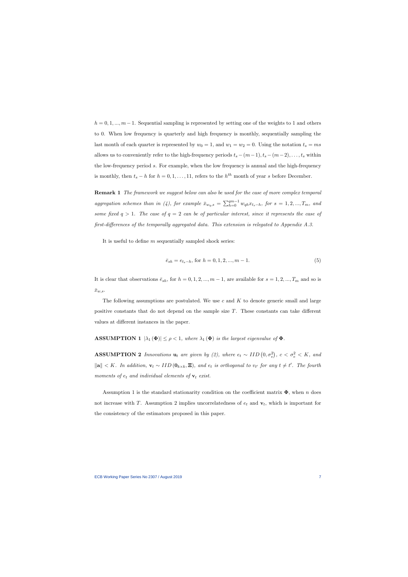$h = 0, 1, ..., m - 1$ . Sequential sampling is represented by setting one of the weights to 1 and others to 0. When low frequency is quarterly and high frequency is monthly, sequentially sampling the last month of each quarter is represented by  $w_0 = 1$ , and  $w_1 = w_2 = 0$ . Using the notation  $t_s = ms$ allows us to conveniently refer to the high-frequency periods  $t_s - (m-1), t_s - (m-2), \ldots, t_s$  within the low-frequency period s. For example, when the low frequency is annual and the high-frequency is monthly, then  $t_s - h$  for  $h = 0, 1, ..., 11$ , refers to the  $h^{th}$  month of year s before December.

Remark 1 The framework we suggest below can also be used for the case of more complex temporal aggregation schemes than in (4), for example  $\bar{x}_{w_q,s} = \sum_{h=0}^{qm-1} w_{qh} x_{t_s-h}$ , for  $s = 1, 2, ..., T_m$ , and some fixed  $q > 1$ . The case of  $q = 2$  can be of particular interest, since it represents the case of  $first\text{-differences of the temporally aggregated data. This extension is released to Appendix A.3.}$ 

It is useful to define  $m$  sequentially sampled shock series:

$$
\bar{e}_{sh} = e_{t_s-h}, \text{ for } h = 0, 1, 2, ..., m-1. \tag{5}
$$

It is clear that observations  $\bar{e}_{sh}$ , for  $h = 0, 1, 2, ..., m - 1$ , are available for  $s = 1, 2, ..., T_m$  and so is  $\bar{x}_{w,s}.$ 

The following assumptions are postulated. We use c and  $K$  to denote generic small and large positive constants that do not depend on the sample size  $T$ . These constants can take different values at different instances in the paper.

# **ASSUMPTION 1**  $|\lambda_1(\Phi)| \le \rho < 1$ , where  $\lambda_1(\Phi)$  is the largest eigenvalue of  $\Phi$ .

**ASSUMPTION 2** Innovations  $\mathbf{u}_t$  are given by (2), where  $e_t \sim IID(0, \sigma_e^2)$ ,  $c < \sigma_e^2 < K$ , and  $\|\mathbf{a}\| < K$ . In addition,  $\mathbf{v}_t \sim IID(\mathbf{0}_{k\times k}, \Xi)$ , and  $e_t$  is orthogonal to  $v_{t'}$  for any  $t \neq t'$ . The fourth moments of  $e_t$  and individual elements of  $v_t$  exist.

Assumption 1 is the standard stationarity condition on the coefficient matrix  $\Phi$ , when n does not increase with T. Assumption 2 implies uncorrelatedness of  $e_t$  and  $\mathbf{v}_t$ , which is important for the consistency of the estimators proposed in this paper.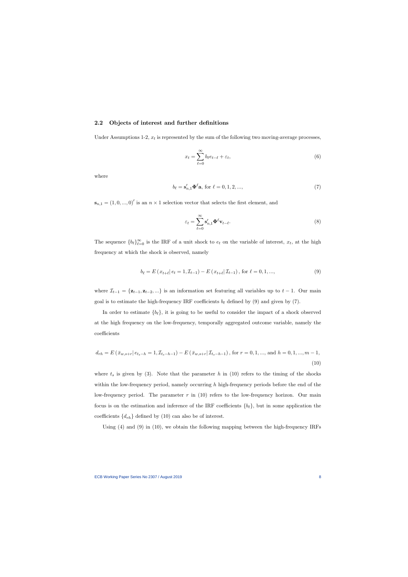### 2.2 Objects of interest and further definitions

Under Assumptions 1-2,  $x_t$  is represented by the sum of the following two moving-average processes,

$$
x_t = \sum_{\ell=0}^{\infty} b_{\ell} e_{t-\ell} + \varepsilon_t,
$$
\n(6)

where

$$
b_{\ell} = \mathbf{s}'_{n,1} \mathbf{\Phi}^{\ell} \mathbf{a}, \text{ for } \ell = 0, 1, 2, \dots,
$$
\n<sup>(7)</sup>

 $\mathbf{s}_{n,1} = (1,0,...,0)$ ' is an  $n \times 1$  selection vector that selects the first element, and

$$
\varepsilon_t = \sum_{\ell=0}^{\infty} \mathbf{s}'_{n,1} \mathbf{\Phi}^{\ell} \mathbf{v}_{t-\ell}.
$$
 (8)

The sequence  ${b_\ell}_{\ell=0}^\infty$  is the IRF of a unit shock to  $e_t$  on the variable of interest,  $x_t$ , at the high frequency at which the shock is observed, namely

$$
b_{\ell} = E(x_{t+\ell} | e_t = 1, \mathcal{I}_{t-1}) - E(x_{t+\ell} | \mathcal{I}_{t-1}), \text{ for } \ell = 0, 1, ..., \tag{9}
$$

where  $\mathcal{I}_{t-1} = {\mathbf{z}_{t-1}, \mathbf{z}_{t-2}, ...}$  is an information set featuring all variables up to  $t - 1$ . Our main goal is to estimate the high-frequency IRF coefficients  $b_{\ell}$  defined by (9) and given by (7).

In order to estimate  $\{b_\ell\}$ , it is going to be useful to consider the impact of a shock observed at the high frequency on the low-frequency, temporally aggregated outcome variable, namely the coefficients

$$
d_{rh} = E(\bar{x}_{w,s+r} | e_{t_s-h} = 1, \mathcal{I}_{t_s-h-1}) - E(\bar{x}_{w,s+r} | \mathcal{I}_{t_s-h-1}), \text{ for } r = 0, 1, ..., \text{ and } h = 0, 1, ..., m-1,
$$
\n(10)

where  $t_s$  is given by (3). Note that the parameter h in (10) refers to the timing of the shocks within the low-frequency period, namely occurring  $h$  high-frequency periods before the end of the low-frequency period. The parameter  $r$  in (10) refers to the low-frequency horizon. Our main focus is on the estimation and inference of the IRF coefficients  $\{b_\ell\}$ , but in some application the coefficients  $\{d_{rh}\}\$  defined by (10) can also be of interest.

Using (4) and (9) in (10), we obtain the following mapping between the high-frequency IRFs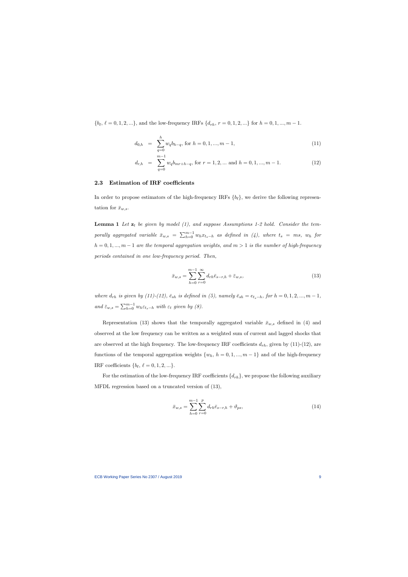$\{b_{\ell}, \ell = 0, 1, 2, ...\}$ , and the low-frequency IRFs  $\{d_{rh}, r = 0, 1, 2, ...\}$  for  $h = 0, 1, ..., m - 1$ .

$$
d_{0,h} = \sum_{q=0}^{h} w_q b_{h-q}, \text{ for } h = 0, 1, ..., m-1,
$$
\n(11)

$$
d_{r,h} = \sum_{q=0}^{m-1} w_q b_{mr+h-q}, \text{ for } r = 1, 2, \dots \text{ and } h = 0, 1, \dots, m-1.
$$
 (12)

### 2.3 Estimation of IRF coefficients

In order to propose estimators of the high-frequency IRFs  $\{b_\ell\}$ , we derive the following representation for  $\bar{x}_{w,s}$ .

**Lemma 1** Let  $z_t$  be given by model (1), and suppose Assumptions 1-2 hold. Consider the temporally aggregated variable  $\bar{x}_{w,s} = \sum_{h=0}^{m-1} w_h x_{t_s-h}$  as defined in (4), where  $t_s = ms$ ,  $w_h$  for  $h = 0, 1, ..., m - 1$  are the temporal aggregation weights, and  $m > 1$  is the number of high-frequency periods contained in one low-frequency period. Then,

$$
\bar{x}_{w,s} = \sum_{h=0}^{m-1} \sum_{r=0}^{\infty} d_{rh} \bar{e}_{s-r,h} + \bar{\varepsilon}_{w,s},
$$
\n(13)

where  $d_{rh}$  is given by (11)-(12),  $\bar{e}_{sh}$  is defined in (5), namely  $\bar{e}_{sh} = e_{t_s-h}$ , for  $h = 0, 1, 2, ..., m - 1$ , and  $\bar{\varepsilon}_{w,s} = \sum_{h=0}^{m-1} w_h \varepsilon_{t_s-h}$  with  $\varepsilon_t$  given by  $(8)$ .

Representation (13) shows that the temporally aggregated variable  $\bar{x}_{w,s}$  defined in (4) and observed at the low frequency can be written as a weighted sum of current and lagged shocks that are observed at the high frequency. The low-frequency IRF coefficients  $d_{rh}$ , given by (11)-(12), are functions of the temporal aggregation weights  $\{w_h, h = 0, 1, ..., m-1\}$  and of the high-frequency IRF coefficients  $\{b_\ell, \ell = 0, 1, 2, ...\}.$ 

For the estimation of the low-frequency IRF coefficients  $\{d_{rh}\}$ , we propose the following auxiliary MFDL regression based on a truncated version of (13),

$$
\bar{x}_{w,s} = \sum_{h=0}^{m-1} \sum_{r=0}^{p} d_{rh} \bar{e}_{s-r,h} + \vartheta_{ps},
$$
\n(14)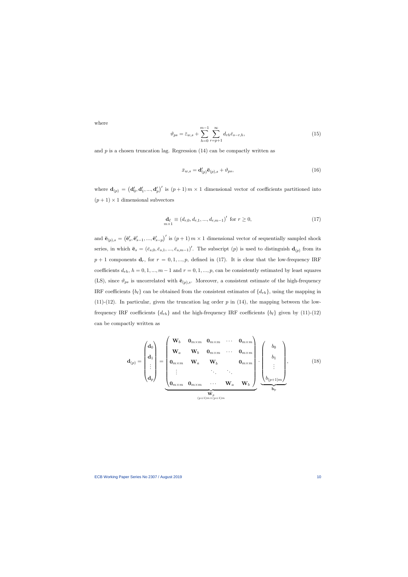where

$$
\vartheta_{ps} = \bar{\varepsilon}_{w,s} + \sum_{h=0}^{m-1} \sum_{r=p+1}^{\infty} d_{rh} \bar{e}_{s-r,h},\tag{15}
$$

and  $p$  is a chosen truncation lag. Regression  $(14)$  can be compactly written as

$$
\bar{x}_{w,s} = \mathbf{d}'_{(p)} \bar{\mathbf{e}}_{(p),s} + \vartheta_{ps},\tag{16}
$$

where  $\mathbf{d}_{(p)} = (\mathbf{d}'_0, \mathbf{d}'_1, ..., \mathbf{d}'_p)'$  is  $(p+1) \, m \times 1$  dimensional vector of coefficients partitioned into  $(p+1) \times 1$  dimensional subvectors

$$
\mathbf{d}_{\ell} \equiv (d_{r,0}, d_{r,1}, ..., d_{r,m-1})' \text{ for } r \ge 0,
$$
\n(17)

and  $\bar{\mathbf{e}}_{(p),s} = (\bar{\mathbf{e}}'_s, \bar{\mathbf{e}}'_{s-1}, ..., \bar{\mathbf{e}}'_{s-p})'$  is  $(p+1) \, m \times 1$  dimensional vector of sequentially sampled shock series, in which  $\bar{\mathbf{e}}_s = (\bar{e}_{s,0}, \bar{e}_{s,1}, ..., \bar{e}_{s,m-1})'$ . The subscript  $(p)$  is used to distinguish  $\mathbf{d}_{(p)}$  from its  $p + 1$  components  $\mathbf{d}_r$ , for  $r = 0, 1, ..., p$ , defined in (17). It is clear that the low-frequency IRF coefficients  $d_{rh}$ ,  $h = 0, 1, ..., m - 1$  and  $r = 0, 1, ..., p$ , can be consistently estimated by least squares (LS), since  $\vartheta_{ps}$  is uncorrelated with  $\bar{\mathbf{e}}_{(p),s}$ . Moreover, a consistent estimate of the high-frequency IRF coefficients  $\{b_\ell\}$  can be obtained from the consistent estimates of  $\{d_{rh}\}\$ , using the mapping in (11)-(12). In particular, given the truncation lag order  $p$  in (14), the mapping between the lowfrequency IRF coefficients  $\{d_{rh}\}\$  and the high-frequency IRF coefficients  $\{b_\ell\}\$  given by (11)-(12) can be compactly written as

$$
\mathbf{d}_{(p)} = \begin{pmatrix} \mathbf{d}_{0} \\ \mathbf{d}_{1} \\ \vdots \\ \mathbf{d}_{p} \end{pmatrix} = \begin{pmatrix} \mathbf{W}_{b} & \mathbf{0}_{m \times m} & \mathbf{0}_{m \times m} & \cdots & \mathbf{0}_{m \times m} \\ \mathbf{W}_{a} & \mathbf{W}_{b} & \mathbf{0}_{m \times m} & \cdots & \mathbf{0}_{m \times m} \\ \mathbf{0}_{m \times m} & \mathbf{W}_{a} & \mathbf{W}_{b} & \mathbf{0}_{m \times m} \\ \vdots & \vdots & \ddots & \ddots & \vdots \\ \mathbf{0}_{m \times m} & \mathbf{0}_{m \times m} & \cdots & \mathbf{W}_{a} & \mathbf{W}_{b} \end{pmatrix} \cdot \begin{pmatrix} b_{0} \\ b_{1} \\ \vdots \\ b_{(p+1)m} \end{pmatrix}, \qquad (18)
$$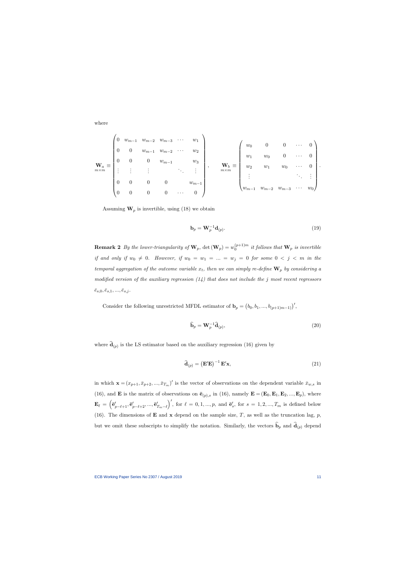where

$$
\mathbf{W}_{a} \equiv \begin{pmatrix} 0 & w_{m-1} & w_{m-2} & w_{m-3} & \cdots & w_{1} \\ 0 & 0 & w_{m-1} & w_{m-2} & \cdots & w_{2} \\ 0 & 0 & 0 & w_{m-1} & & w_{3} \\ \vdots & \vdots & \vdots & & \ddots & \vdots \\ 0 & 0 & 0 & 0 & w_{m-1} \\ 0 & 0 & 0 & 0 & \cdots & 0 \end{pmatrix}, \quad \mathbf{W}_{b} \equiv \begin{pmatrix} w_{0} & 0 & 0 & \cdots & 0 \\ w_{1} & w_{0} & 0 & \cdots & 0 \\ w_{2} & w_{1} & w_{0} & \cdots & 0 \\ \vdots & & & \ddots & \vdots \\ w_{m-1} & w_{m-2} & w_{m-3} & \cdots & w_{0} \end{pmatrix}.
$$

Assuming  $\mathbf{W}_p$  is invertible, using (18) we obtain

$$
\mathbf{b}_p = \mathbf{W}_p^{-1} \mathbf{d}_{(p)}.\tag{19}
$$

**Remark 2** By the lower-triangularity of  $\mathbf{W}_p$ ,  $\text{det}(\mathbf{W}_p) = w_0^{(p+1)m}$  it follows that  $\mathbf{W}_p$  is invertible if and only if  $w_0 \neq 0$ . However, if  $w_0 = w_1 = ... = w_j = 0$  for some  $0 < j < m$  in the temporal aggregation of the outcome variable  $x_t$ , then we can simply re-define  $\mathbf{W}_p$  by considering a modified version of the auxiliary regression  $(14)$  that does not include the j most recent regressors  $\bar{e}_{s,0}, \bar{e}_{s,1}, ..., \bar{e}_{s,j}$ .

Consider the following unrestricted MFDL estimator of  $\mathbf{b}_p = (b_0, b_1, ..., b_{(p+1)m-1})'$ ,

$$
\widehat{\mathbf{b}}_p = \mathbf{W}_p^{-1} \widehat{\mathbf{d}}_{(p)},\tag{20}
$$

where  $\mathbf{d}_{(p)}$  is the LS estimator based on the auxiliary regression (16) given by

$$
\widehat{\mathbf{d}}_{(p)} = \left(\mathbf{E}'\mathbf{E}\right)^{-1}\mathbf{E}'\mathbf{x},\tag{21}
$$

in which  $\mathbf{x} = (x_{p+1}, \bar{x}_{p+2}, ..., \bar{x}_{T_m})'$  is the vector of observations on the dependent variable  $\bar{x}_{w,s}$  in (16), and **E** is the matrix of observations on  $\bar{\mathbf{e}}_{(p),s}$  in (16), namely  $\mathbf{E} = (\mathbf{E}_0, \mathbf{E}_1, \mathbf{E}_2, ..., \mathbf{E}_p)$ , where  $\mathbf{E}_{\ell}\,=\,\left(\mathbf{\bar{e}}_{p-\ell+1}^{\prime},\mathbf{\bar{e}}_{p-\ell+2}^{\prime},...,\mathbf{\bar{e}}_{T_m-\ell}^{\prime}\right.$  $\int'$ , for  $\ell = 0, 1, ..., p$ , and  $\bar{\mathbf{e}}'_s$ , for  $s = 1, 2, ..., T_m$  is defined below (16). The dimensions of **E** and **x** depend on the sample size, T, as well as the truncation lag, p, but we omit these subscripts to simplify the notation. Similarly, the vectors  $\mathbf{b}_p$  and  $\mathbf{d}_{(p)}$  depend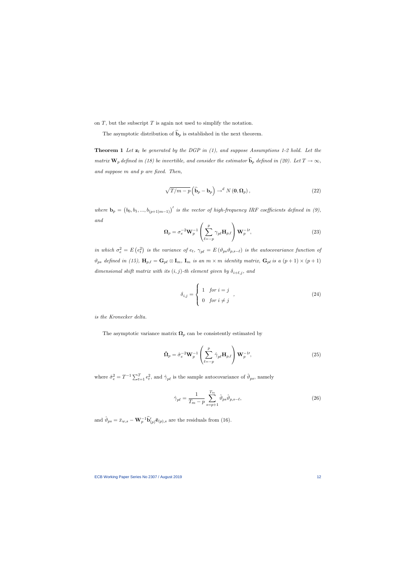on  $T$ , but the subscript  $T$  is again not used to simplify the notation.

The asymptotic distribution of  $\hat{\mathbf{b}}_p$  is established in the next theorem.

**Theorem 1** Let  $z_t$  be generated by the DGP in (1), and suppose Assumptions 1-2 hold. Let the matrix  $\mathbf{W}_p$  defined in (18) be invertible, and consider the estimator  $\widehat{\mathbf{b}}_p$  defined in (20). Let  $T \to \infty$ , and suppose  $m$  and  $p$  are fixed. Then,

$$
\sqrt{T/m-p}\left(\widehat{\mathbf{b}}_p-\mathbf{b}_p\right)\to^d N\left(\mathbf{0},\mathbf{\Omega}_p\right),\tag{22}
$$

where  $\mathbf{b}_p = (b_0, b_1, ..., b_{(p+1)m-1})'$  is the vector of high-frequency IRF coefficients defined in (9), and

$$
\Omega_p = \sigma_e^{-2} \mathbf{W}_p^{-1} \left( \sum_{\ell=-p}^p \gamma_{p\ell} \mathbf{H}_{p,\ell} \right) \mathbf{W}_p^{-1'},\tag{23}
$$

in which  $\sigma_e^2 = E(e_t^2)$  is the variance of  $e_t$ ,  $\gamma_{p\ell} = E(\vartheta_{ps}\vartheta_{p,s-\ell})$  is the autocovariance function of  $\vartheta_{ps}$  defined in (15),  $\mathbf{H}_{p,\ell} = \mathbf{G}_{p\ell} \otimes \mathbf{I}_m$ ,  $\mathbf{I}_m$  is an  $m \times m$  identity matrix,  $\mathbf{G}_{p\ell}$  is a  $(p+1) \times (p+1)$ dimensional shift matrix with its  $(i, j)$ -th element given by  $\delta_{i+\ell,j}$ , and

$$
\delta_{i,j} = \begin{cases} 1 & \text{for } i = j \\ 0 & \text{for } i \neq j \end{cases}, \tag{24}
$$

is the Kronecker delta.

The asymptotic variance matrix  $\Omega_p$  can be consistently estimated by

$$
\hat{\mathbf{\Omega}}_p = \hat{\sigma}_e^{-2} \mathbf{W}_p^{-1} \left( \sum_{\ell=-p}^p \hat{\gamma}_{p\ell} \mathbf{H}_{p,\ell} \right) \mathbf{W}_p^{-1'}, \tag{25}
$$

where  $\hat{\sigma}_e^2 = T^{-1} \sum_{t=1}^T e_t^2$ , and  $\hat{\gamma}_{p\ell}$  is the sample autocovariance of  $\hat{\vartheta}_{ps}$ , namely

$$
\hat{\gamma}_{p\ell} = \frac{1}{T_m - p} \sum_{s=p+1}^{T_m} \hat{\vartheta}_{ps} \hat{\vartheta}_{p,s-\ell},\tag{26}
$$

and  $\hat{\vartheta}_{ps} = \bar{x}_{w,s} - \mathbf{W}_p^{-1} \widehat{\mathbf{b}}'_{(p)} \bar{\mathbf{e}}_{(p),s}$  are the residuals from (16).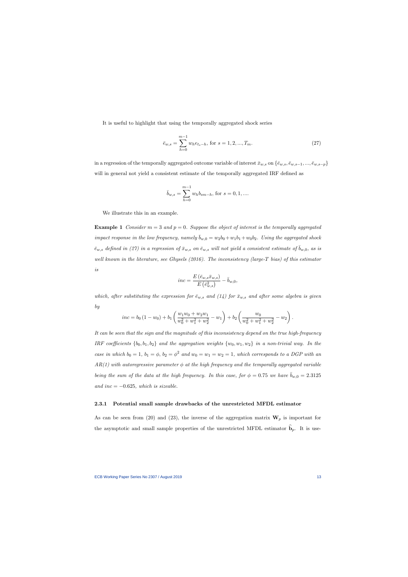It is useful to highlight that using the temporally aggregated shock series

$$
\bar{e}_{w,s} = \sum_{h=0}^{m-1} w_h e_{t_s-h}, \text{ for } s = 1, 2, ..., T_m.
$$
 (27)

in a regression of the temporally aggregated outcome variable of interest  $\bar{x}_{w,s}$  on  $\{\bar{e}_{w,s}, \bar{e}_{w,s-1}, ..., \bar{e}_{w,s-p}\}$ will in general not yield a consistent estimate of the temporally aggregated IRF defined as

$$
\bar{b}_{w,s} = \sum_{h=0}^{m-1} w_h b_{sm-h}
$$
, for  $s = 0, 1, ...$ 

We illustrate this in an example.

**Example 1** Consider  $m = 3$  and  $p = 0$ . Suppose the object of interest is the temporally aggregated impact response in the low frequency, namely  $b_{w,0} = w_2b_0 + w_1b_1 + w_0b_2$ . Using the aggregated shock  $\bar{e}_{w,s}$  defined in (27) in a regression of  $\bar{x}_{w,s}$  on  $\bar{e}_{w,s}$  will not yield a consistent estimate of  $\bar{b}_{w,0}$ , as is well known in the literature, see Ghysels (2016). The inconsistency (large-T bias) of this estimator is

$$
inc = \frac{E\left(\bar{e}_{w,s}\bar{x}_{w,s}\right)}{E\left(\bar{e}_{w,s}^2\right)} - \bar{b}_{w,0},
$$

which, after substituting the expression for  $\bar{e}_{w,s}$  and (14) for  $\bar{x}_{w,s}$  and after some algebra is given by

$$
inc = b_0 (1 - w_0) + b_1 \left( \frac{w_1 w_0 + w_2 w_1}{w_0^2 + w_1^2 + w_2^2} - w_1 \right) + b_2 \left( \frac{w_0}{w_0^2 + w_1^2 + w_2^2} - w_2 \right).
$$

It can be seen that the sign and the magnitude of this inconsistency depend on the true high-frequency IRF coefficients  $\{b_0, b_1, b_2\}$  and the aggregation weights  $\{w_0, w_1, w_2\}$  in a non-trivial way. In the case in which  $b_0 = 1$ ,  $b_1 = \phi$ ,  $b_2 = \phi^2$  and  $w_0 = w_1 = w_2 = 1$ , which corresponds to a DGP with an  $AR(1)$  with autoregressive parameter  $\phi$  at the high frequency and the temporally aggregated variable being the sum of the data at the high frequency. In this case, for  $\phi = 0.75$  we have  $b_{w,0} = 2.3125$ and inc  $= -0.625$ , which is sizeable.

### 2.3.1 Potential small sample drawbacks of the unrestricted MFDL estimator

As can be seen from (20) and (23), the inverse of the aggregation matrix  $W_p$  is important for the asymptotic and small sample properties of the unrestricted MFDL estimator  $\mathbf{b}_p$ . It is use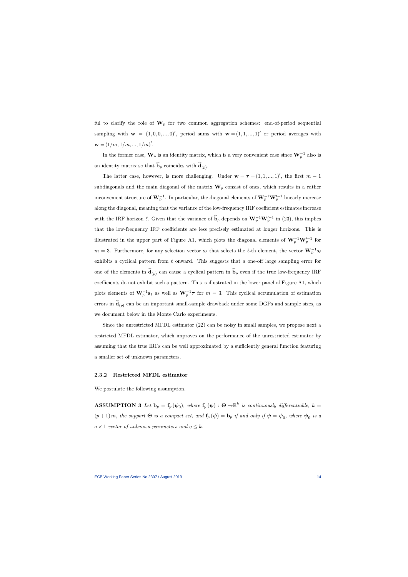ful to clarify the role of  $W_p$  for two common aggregation schemes: end-of-period sequential sampling with  $\mathbf{w} = (1, 0, 0, ..., 0)$ , period sums with  $\mathbf{w} = (1, 1, ..., 1)$  or period averages with  ${\bf w} = (1/m, 1/m, ..., 1/m)'$ .

In the former case,  $\mathbf{W}_p$  is an identity matrix, which is a very convenient case since  $\mathbf{W}_p^{-1}$  also is an identity matrix so that  $\mathbf{b}_p$  coincides with  $\mathbf{d}_{(p)}$ .

The latter case, however, is more challenging. Under  $\mathbf{w} = \boldsymbol{\tau} = (1, 1, ..., 1)'$ , the first  $m - 1$ subdiagonals and the main diagonal of the matrix  $W_p$  consist of ones, which results in a rather inconvenient structure of  $\mathbf{W}_p^{-1}$ . In particular, the diagonal elements of  $\mathbf{W}_p^{-1}\mathbf{W}_p'^{-1}$  linearly increase along the diagonal, meaning that the variance of the low-frequency IRF coefficient estimates increase with the IRF horizon  $\ell$ . Given that the variance of  $\hat{\mathbf{b}}_p$  depends on  $\mathbf{W}_p^{-1}\mathbf{W}_p'^{-1}$  in (23), this implies that the low-frequency IRF coefficients are less precisely estimated at longer horizons. This is illustrated in the upper part of Figure A1, which plots the diagonal elements of  $W_p^{-1}W_p'^{-1}$  for  $m = 3$ . Furthermore, for any selection vector  $s_\ell$  that selects the  $\ell$ -th element, the vector  $\mathbf{W}_p^{-1} s_\ell$ exhibits a cyclical pattern from  $\ell$  onward. This suggests that a one-off large sampling error for one of the elements in  $\mathbf{d}_{(p)}$  can cause a cyclical pattern in  $\mathbf{b}_p$  even if the true low-frequency IRF coefficients do not exhibit such a pattern. This is illustrated in the lower panel of Figure A1, which plots elements of  $\mathbf{W}_p^{-1}\mathbf{s}_1$  as well as  $\mathbf{W}_p^{-1}\boldsymbol{\tau}$  for  $m=3$ . This cyclical accumulation of estimation errors in  $\mathbf{d}_{(p)}$  can be an important small-sample drawback under some DGPs and sample sizes, as we document below in the Monte Carlo experiments.

Since the unrestricted MFDL estimator (22) can be noisy in small samples, we propose next a restricted MFDL estimator, which improves on the performance of the unrestricted estimator by assuming that the true IRFs can be well approximated by a sufficiently general function featuring a smaller set of unknown parameters.

### 2.3.2 Restricted MFDL estimator

We postulate the following assumption.

**ASSUMPTION 3** Let  $\mathbf{b}_p = \mathbf{f}_p(\psi_0)$ , where  $\mathbf{f}_p(\psi) : \Theta \to \mathbb{R}^k$  is continuously differentiable,  $k =$  $(p+1)$ m, the support  $\Theta$  is a compact set, and  $\mathbf{f}_p(\psi) = \mathbf{b}_p$  if and only if  $\psi = \psi_0$ , where  $\psi_0$  is a  $q \times 1$  vector of unknown parameters and  $q \leq k$ .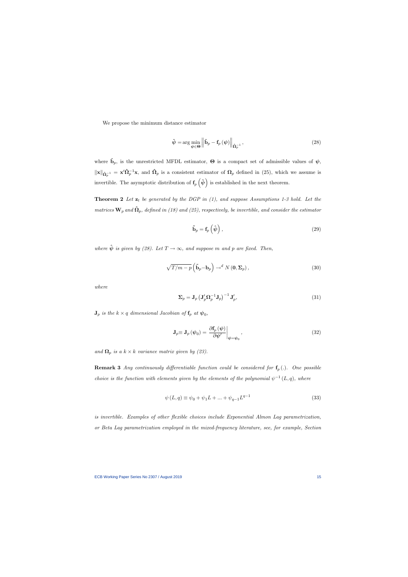We propose the minimum distance estimator

$$
\hat{\psi} = \arg\min_{\psi \in \Theta} \left\| \hat{\mathbf{b}}_p - \mathbf{f}_p \left( \psi \right) \right\|_{\hat{\mathbf{\Omega}}_p^{-1}},\tag{28}
$$

where  $\hat{\mathbf{b}}_p$ , is the unrestricted MFDL estimator,  $\Theta$  is a compact set of admissible values of  $\psi$ ,  $\|\mathbf{x}\|_{\hat{\mathbf{\Omega}}_p^{-1}} = \mathbf{x}' \hat{\mathbf{\Omega}}_p^{-1} \mathbf{x}$ , and  $\hat{\mathbf{\Omega}}_p$  is a consistent estimator of  $\mathbf{\Omega}_p$  defined in (25), which we assume is invertible. The asymptotic distribution of  $f_p(\hat{\psi})$  is established in the next theorem.

**Theorem 2** Let  $z_t$  be generated by the DGP in  $(1)$ , and suppose Assumptions 1-3 hold. Let the matrices  $\mathbf{W}_{p}$  and  $\mathbf{\hat{\Omega}}_{p},$  defined in (18) and (25), respectively, be invertible, and consider the estimator

$$
\tilde{\mathbf{b}}_p = \mathbf{f}_p \left( \hat{\boldsymbol{\psi}} \right), \tag{29}
$$

where  $\hat{\psi}$  is given by (28). Let  $T \to \infty$ , and suppose m and p are fixed. Then,

$$
\sqrt{T/m-p}\left(\tilde{\mathbf{b}}_p - \mathbf{b}_p\right) \to^d N(\mathbf{0}, \Sigma_p),\tag{30}
$$

where

$$
\Sigma_p = \mathbf{J}_p \left( \mathbf{J}_p' \Omega_p^{-1} \mathbf{J}_p \right)^{-1} \mathbf{J}_p', \tag{31}
$$

 $\mathbf{J}_p$  is the  $k\times q$  dimensional Jacobian of  $\mathbf{f}_p$  at  $\boldsymbol{\psi}_0$ ,

$$
\mathbf{J}_p \equiv \mathbf{J}_p \left( \boldsymbol{\psi}_0 \right) = \left. \frac{\partial \mathbf{f}_p \left( \boldsymbol{\psi} \right)}{\partial \boldsymbol{\psi}'} \right|_{\boldsymbol{\psi} = \boldsymbol{\psi}_0},\tag{32}
$$

and  $\Omega_p$  is a  $k \times k$  variance matrix given by (23).

**Remark 3** Any continuously differentiable function could be considered for  $f_p(.)$ . One possible choice is the function with elements given by the elements of the polynomial  $\psi^{-1}(L, q)$ , where

$$
\psi(L,q) \equiv \psi_0 + \psi_1 L + \dots + \psi_{q-1} L^{q-1}
$$
\n(33)

is invertible. Examples of other flexible choices include Exponential Almon Lag parametrization, or Beta Lag parametrization employed in the mixed-frequency literature, see, for example, Section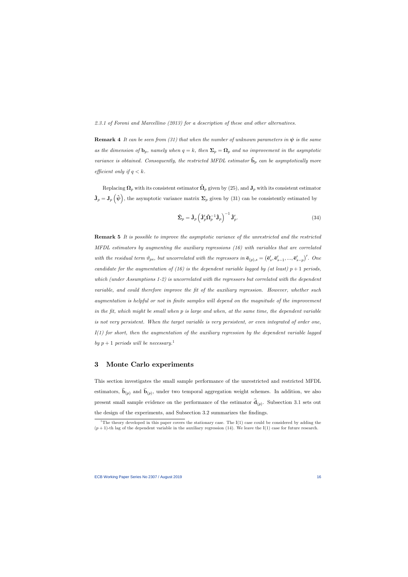2.3.1 of Foroni and Marcellino (2013) for a description of these and other alternatives.

**Remark 4** It can be seen from (31) that when the number of unknown parameters in  $\psi$  is the same as the dimension of  $\mathbf{b}_p$ , namely when  $q = k$ , then  $\Sigma_p = \mathbf{\Omega}_p$  and no improvement in the asymptotic variance is obtained. Consequently, the restricted MFDL estimator  $\mathbf{b}_p$  can be asymptotically more efficient only if  $q < k$ .

Replacing  $\Omega_p$  with its consistent estimator  $\hat{\Omega}_p$  given by (25), and  $\mathbf{J}_p$  with its consistent estimator  $\hat{\mathbf{J}}_p = \mathbf{J}_p \left( \hat{\boldsymbol{\psi}} \right)$ , the asymptotic variance matrix  $\boldsymbol{\Sigma}_p$  given by (31) can be consistently estimated by

$$
\hat{\Sigma}_p = \hat{\mathbf{J}}_p \left( \hat{\mathbf{J}}_p' \hat{\mathbf{\Omega}}_p^{-1} \hat{\mathbf{J}}_p \right)^{-1} \hat{\mathbf{J}}_p'.
$$
\n(34)

Remark 5 It is possible to improve the asymptotic variance of the unrestricted and the restricted MFDL estimators by augmenting the auxiliary regressions (16) with variables that are correlated with the residual term  $\vartheta_{ps}$ , but uncorrelated with the regressors in  $\bar{\mathbf{e}}_{(p),s} = (\bar{\mathbf{e}}'_s, \bar{\mathbf{e}}'_{s-1}, ..., \bar{\mathbf{e}}'_{s-p})'$ . One candidate for the augmentation of (16) is the dependent variable lagged by (at least)  $p+1$  periods, which (under Assumptions 1-2) is uncorrelated with the regressors but correlated with the dependent variable, and could therefore improve the fit of the auxiliary regression. However, whether such augmentation is helpful or not in Önite samples will depend on the magnitude of the improvement in the fit, which might be small when  $p$  is large and when, at the same time, the dependent variable is not very persistent. When the target variable is very persistent, or even integrated of order one,  $I(1)$  for short, then the augmentation of the auxiliary regression by the dependent variable lagged by  $p+1$  periods will be necessary.<sup>1</sup>

# 3 Monte Carlo experiments

This section investigates the small sample performance of the unrestricted and restricted MFDL estimators,  $\mathbf{b}_{(p)}$  and  $\mathbf{b}_{(p)}$ , under two temporal aggregation weight schemes. In addition, we also present small sample evidence on the performance of the estimator  $\mathbf{d}_{(p)}$ . Subsection 3.1 sets out the design of the experiments, and Subsection 3.2 summarizes the findings.

<sup>&</sup>lt;sup>1</sup>The theory developed in this paper covers the stationary case. The I(1) case could be considered by adding the  $(p+1)$ -th lag of the dependent variable in the auxiliary regression (14). We leave the I(1) case for future research.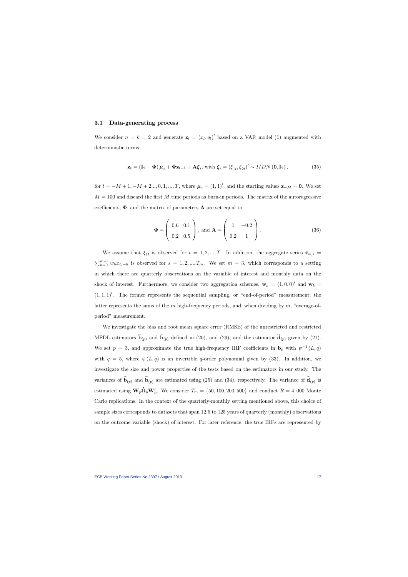### 3.1 Data-generating process

We consider  $n = k = 2$  and generate  $\mathbf{z}_t = (x_t, q_t)'$  based on a VAR model (1) augmented with deterministic terms:

$$
\mathbf{z}_{t} = \left(\mathbf{I}_{2} - \mathbf{\Phi}\right)\boldsymbol{\mu}_{z} + \mathbf{\Phi}\mathbf{z}_{t-1} + \mathbf{A}\boldsymbol{\xi}_{t}, \text{ with } \boldsymbol{\xi}_{t} = \left(\xi_{1t}, \xi_{2t}\right)' \sim IIDN\left(\mathbf{0}, \mathbf{I}_{2}\right),\tag{35}
$$

for  $t = -M + 1, -M + 2..., 0, 1, ..., T$ , where  $\mu_z = (1, 1)'$ , and the starting values  $z_{-M} = 0$ . We set  $M = 100$  and discard the first M time periods as burn-in periods. The matrix of the autoregressive coefficients,  $\Phi$ , and the matrix of parameters **A** are set equal to

$$
\mathbf{\Phi} = \left( \begin{array}{cc} 0.6 & 0.1 \\ 0.2 & 0.5 \end{array} \right), \text{ and } \mathbf{A} = \left( \begin{array}{cc} 1 & -0.2 \\ 0.2 & 1 \end{array} \right). \tag{36}
$$

We assume that  $\xi_{1t}$  is observed for  $t = 1, 2, ..., T$ . In addition, the aggregate series  $\bar{x}_{w,s}$  $\sum_{h=0}^{m-1} w_h x_{t_s-h}$  is observed for  $s = 1, 2, ..., T_m$ . We set  $m = 3$ , which corresponds to a setting in which there are quarterly observations on the variable of interest and monthly data on the shock of interest. Furthermore, we consider two aggregation schemes,  $\mathbf{w}_a = (1,0,0)^\prime$  and  $\mathbf{w}_b =$  $(1,1,1)'$ . The former represents the sequential sampling, or "end-of-period" measurement; the latter represents the sums of the m high-frequency periods, and, when dividing by  $m$ , "average-ofperiod" measurement.

We investigate the bias and root mean square error (RMSE) of the unrestricted and restricted MFDL estimators  $\mathbf{b}_{(p)}$  and  $\mathbf{b}_{(p)}$  defined in (20), and (29), and the estimator  $\mathbf{d}_{(p)}$  given by (21). We set  $p = 3$ , and approximate the true high-frequency IRF coefficients in  $\mathbf{b}_p$  with  $\psi^{-1}(L, q)$ with  $q = 5$ , where  $\psi(L, q)$  is an invertible q-order polynomial given by (33). In addition, we investigate the size and power properties of the tests based on the estimators in our study. The variances of  $\mathbf{b}_{(p)}$  and  $\mathbf{b}_{(p)}$  are estimated using (25) and (34), respectively. The variance of  $\mathbf{d}_{(p)}$  is estimated using  $\mathbf{W}_p \hat{\Omega}_p \mathbf{W}_p'$ . We consider  $T_m = \{50, 100, 200, 500\}$  and conduct  $R = 4,000$  Monte Carlo replications. In the context of the quarterly-monthly setting mentioned above, this choice of sample sizes corresponds to datasets that span 12.5 to 125 years of quarterly (monthly) observations on the outcome variable (shock) of interest. For later reference, the true IRFs are represented by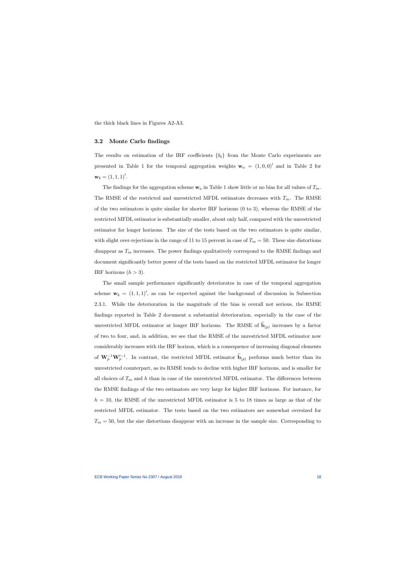the thick black lines in Figures A2-A3.

### 3.2 Monte Carlo findings

The results on estimation of the IRF coefficients  $\{b_\ell\}$  from the Monte Carlo experiments are presented in Table 1 for the temporal aggregation weights  $\mathbf{w}_a = (1,0,0)^\prime$  and in Table 2 for  $\mathbf{w}_b = (1, 1, 1)'.$ 

The findings for the aggregation scheme  $w_a$  in Table 1 show little or no bias for all values of  $T_m$ . The RMSE of the restricted and unrestricted MFDL estimators decreases with  $T_m$ . The RMSE of the two estimators is quite similar for shorter IRF horizons (0 to 3), whereas the RMSE of the restricted MFDL estimator is substantially smaller, about only half, compared with the unrestricted estimator for longer horizons. The size of the tests based on the two estimators is quite similar, with slight over-rejections in the range of 11 to 15 percent in case of  $T_m = 50$ . These size distortions disappear as  $T_m$  increases. The power findings qualitatively correspond to the RMSE findings and document significantly better power of the tests based on the restricted MFDL estimator for longer IRF horizons  $(h > 3)$ .

The small sample performance significantly deteriorates in case of the temporal aggregation scheme  $\mathbf{w}_b = (1, 1, 1)^\prime$ , as can be expected against the background of discussion in Subsection 2.3.1. While the deterioration in the magnitude of the bias is overall not serious, the RMSE findings reported in Table 2 document a substantial deterioration, especially in the case of the unrestricted MFDL estimator at longer IRF horizons. The RMSE of  $\mathbf{b}_{(p)}$  increases by a factor of two to four, and, in addition, we see that the RMSE of the unrestricted MFDL estimator now considerably increases with the IRF horizon, which is a consequence of increasing diagonal elements of  $\mathbf{W}_p^{-1}\mathbf{W}_p'^{-1}$ . In contrast, the restricted MFDL estimator  $\widetilde{\mathbf{b}}_{(p)}$  performs much better than its unrestricted counterpart, as its RMSE tends to decline with higher IRF horizons, and is smaller for all choices of  $T_m$  and h than in case of the unrestricted MFDL estimator. The differences between the RMSE findings of the two estimators are very large for higher IRF horizons. For instance, for  $h = 10$ , the RMSE of the unrestricted MFDL estimator is 5 to 18 times as large as that of the restricted MFDL estimator. The tests based on the two estimators are somewhat oversized for  $T_m = 50$ , but the size distortions disappear with an increase in the sample size. Corresponding to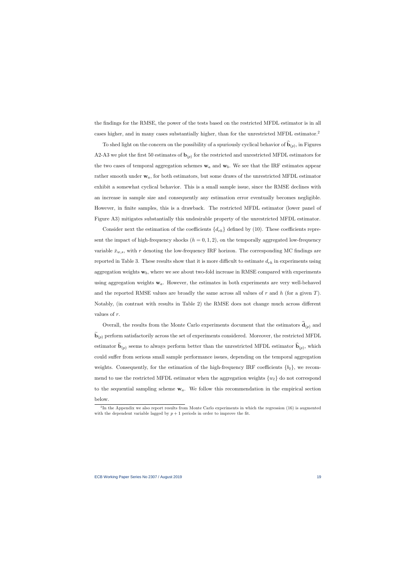the findings for the RMSE, the power of the tests based on the restricted MFDL estimator is in all cases higher, and in many cases substantially higher, than for the unrestricted MFDL estimator.<sup>2</sup>

To shed light on the concern on the possibility of a spuriously cyclical behavior of  $\mathbf{b}_{(p)}$ , in Figures A2-A3 we plot the first 50 estimates of  $\mathbf{b}_{(p)}$  for the restricted and unrestricted MFDL estimators for the two cases of temporal aggregation schemes  $w_a$  and  $w_b$ . We see that the IRF estimates appear rather smooth under  $w_a$ , for both estimators, but some draws of the unrestricted MFDL estimator exhibit a somewhat cyclical behavior. This is a small sample issue, since the RMSE declines with an increase in sample size and consequently any estimation error eventually becomes negligible. However, in finite samples, this is a drawback. The restricted MFDL estimator (lower panel of Figure A3) mitigates substantially this undesirable property of the unrestricted MFDL estimator.

Consider next the estimation of the coefficients  $\{d_{rh}\}\$  defined by (10). These coefficients represent the impact of high-frequency shocks  $(h = 0, 1, 2)$ , on the temporally aggregated low-frequency variable  $\bar{x}_{w,s}$ , with r denoting the low-frequency IRF horizon. The corresponding MC findings are reported in Table 3. These results show that it is more difficult to estimate  $d_{rh}$  in experiments using aggregation weights  $w_b$ , where we see about two-fold increase in RMSE compared with experiments using aggregation weights  $w_a$ . However, the estimates in both experiments are very well-behaved and the reported RMSE values are broadly the same across all values of  $r$  and  $h$  (for a given  $T$ ). Notably, (in contrast with results in Table 2) the RMSE does not change much across different values of r.

Overall, the results from the Monte Carlo experiments document that the estimators  $\mathbf{d}_{(p)}$  and  $\mathbf{b}_{(p)}$  perform satisfactorily across the set of experiments considered. Moreover, the restricted MFDL estimator  $\mathbf{b}_{(p)}$  seems to always perform better than the unrestricted MFDL estimator  $\mathbf{b}_{(p)}$ , which could suffer from serious small sample performance issues, depending on the temporal aggregation weights. Consequently, for the estimation of the high-frequency IRF coefficients  $\{b_\ell\}$ , we recommend to use the restricted MFDL estimator when the aggregation weights  $\{w_\ell\}$  do not correspond to the sequential sampling scheme  $w_a$ . We follow this recommendation in the empirical section

below.

<sup>&</sup>lt;sup>2</sup>In the Appendix we also report results from Monte Carlo experiments in which the regression (16) is augmented with the dependent variable lagged by  $p + 1$  periods in order to improve the fit.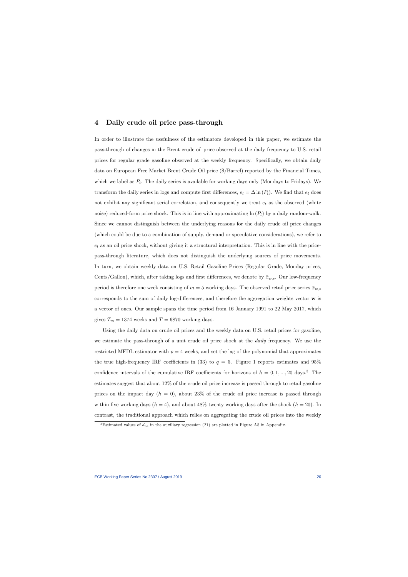## 4 Daily crude oil price pass-through

In order to illustrate the usefulness of the estimators developed in this paper, we estimate the pass-through of changes in the Brent crude oil price observed at the daily frequency to U.S. retail prices for regular grade gasoline observed at the weekly frequency. Specifically, we obtain daily data on European Free Market Brent Crude Oil price (\$/Barrel) reported by the Financial Times, which we label as  $P_t$ . The daily series is available for working days only (Mondays to Fridays). We transform the daily series in logs and compute first differences,  $e_t = \Delta \ln(P_t)$ . We find that  $e_t$  does not exhibit any significant serial correlation, and consequently we treat  $e_t$  as the observed (white noise) reduced-form price shock. This is in line with approximating  $\ln(P_t)$  by a daily random-walk. Since we cannot distinguish between the underlying reasons for the daily crude oil price changes (which could be due to a combination of supply, demand or speculative considerations), we refer to  $e_t$  as an oil price shock, without giving it a structural interpretation. This is in line with the pricepass-through literature, which does not distinguish the underlying sources of price movements. In turn, we obtain weekly data on U.S. Retail Gasoline Prices (Regular Grade, Monday prices, Cents/Gallon), which, after taking logs and first differences, we denote by  $\bar{x}_{w,s}$ . Our low-frequency period is therefore one week consisting of  $m = 5$  working days. The observed retail price series  $\bar{x}_{w,s}$ corresponds to the sum of daily log-differences, and therefore the aggregation weights vector  $\bf{w}$  is a vector of ones. Our sample spans the time period from 16 January 1991 to 22 May 2017, which gives  $T_m = 1374$  weeks and  $T = 6870$  working days.

Using the daily data on crude oil prices and the weekly data on U.S. retail prices for gasoline, we estimate the pass-through of a unit crude oil price shock at the *daily* frequency. We use the restricted MFDL estimator with  $p = 4$  weeks, and set the lag of the polynomial that approximates the true high-frequency IRF coefficients in (33) to  $q = 5$ . Figure 1 reports estimates and 95% confidence intervals of the cumulative IRF coefficients for horizons of  $h = 0, 1, ..., 20$  days.<sup>3</sup> The estimates suggest that about 12% of the crude oil price increase is passed through to retail gasoline prices on the impact day  $(h = 0)$ , about 23% of the crude oil price increase is passed through within five working days  $(h = 4)$ , and about 48% twenty working days after the shock  $(h = 20)$ . In contrast, the traditional approach which relies on aggregating the crude oil prices into the weekly

<sup>&</sup>lt;sup>3</sup>Estimated values of  $d_{rh}$  in the auxiliary regression (21) are plotted in Figure A5 in Appendix.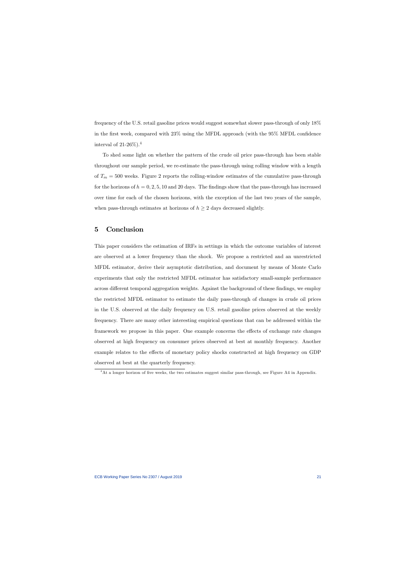frequency of the U.S. retail gasoline prices would suggest somewhat slower pass-through of only 18% in the first week, compared with  $23\%$  using the MFDL approach (with the  $95\%$  MFDL confidence interval of 21-26%).<sup>4</sup>

To shed some light on whether the pattern of the crude oil price pass-through has been stable throughout our sample period, we re-estimate the pass-through using rolling window with a length of  $T_m = 500$  weeks. Figure 2 reports the rolling-window estimates of the cumulative pass-through for the horizons of  $h = 0, 2, 5, 10$  and 20 days. The findings show that the pass-through has increased over time for each of the chosen horizons, with the exception of the last two years of the sample, when pass-through estimates at horizons of  $h \geq 2$  days decreased slightly.

# 5 Conclusion

This paper considers the estimation of IRFs in settings in which the outcome variables of interest are observed at a lower frequency than the shock. We propose a restricted and an unrestricted MFDL estimator, derive their asymptotic distribution, and document by means of Monte Carlo experiments that only the restricted MFDL estimator has satisfactory small-sample performance across different temporal aggregation weights. Against the background of these findings, we employ the restricted MFDL estimator to estimate the daily pass-through of changes in crude oil prices in the U.S. observed at the daily frequency on U.S. retail gasoline prices observed at the weekly frequency. There are many other interesting empirical questions that can be addressed within the framework we propose in this paper. One example concerns the effects of exchange rate changes observed at high frequency on consumer prices observed at best at monthly frequency. Another example relates to the effects of monetary policy shocks constructed at high frequency on GDP observed at best at the quarterly frequency.

<sup>&</sup>lt;sup>4</sup>At a longer horizon of five weeks, the two estimates suggest similar pass-through, see Figure A4 in Appendix.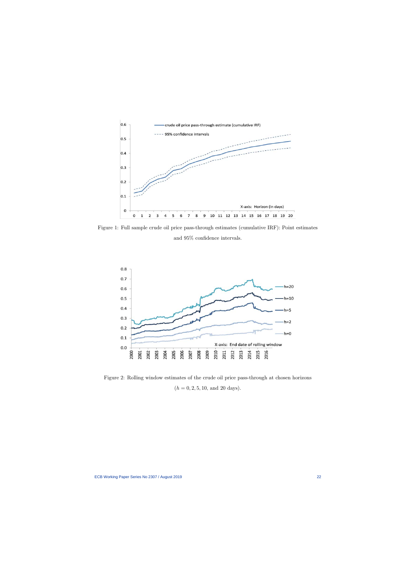

Figure 1: Full sample crude oil price pass-through estimates (cumulative IRF): Point estimates and  $95\%$  confidence intervals.



Figure 2: Rolling window estimates of the crude oil price pass-through at chosen horizons  $(h = 0, 2, 5, 10, \text{ and } 20 \text{ days}).$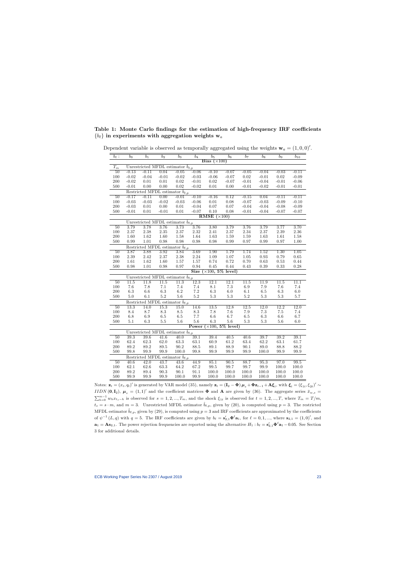Table 1: Monte Carlo findings for the estimation of high-frequency IRF coefficients  ${b_\ell}$  in experiments with aggregation weights  $w_a$ 

| $\overline{b_{\ell}}$ : | b <sub>0</sub>    | $b_1$          | b <sub>2</sub> | $b_3$                                          | $b_4$                   | b <sub>5</sub>                 | b <sub>6</sub>                      | b <sub>7</sub> | b <sub>8</sub>    | b <sub>9</sub>     | $b_{10}$   |
|-------------------------|-------------------|----------------|----------------|------------------------------------------------|-------------------------|--------------------------------|-------------------------------------|----------------|-------------------|--------------------|------------|
|                         |                   |                |                |                                                |                         | Bias $(\times 100)$            |                                     |                |                   |                    |            |
| $T_{m}$                 |                   |                |                | Unrestricted MFDL estimator $b_{\ell,p}$       |                         |                                |                                     |                |                   |                    |            |
| 50                      | $-0.13$           | $-0.11$        | 0.04           | $-0.05$                                        | $-0.06$                 | $-0.10$                        | $-0.07$                             | $-0.05$        | $-0.04$           | $-0.03$            | $-0.11$    |
| 100                     | $-0.02$           | $-0.04$        | $-0.01$        | $-0.02$                                        | $-0.03$                 | $-0.06$                        | $-0.07$                             | $0.02\,$       | $-0.01$           | 0.02               | $-0.09$    |
| 200                     | $-0.02$           | 0.01           | 0.01           | 0.02                                           | $-0.01$                 | $0.02\,$                       | $-0.07$                             | $-0.01$        | $-0.04$           | $-0.01$            | $-0.06$    |
| 500                     | $-0.01$           | 0.00           | 0.00           | 0.02                                           | $-0.02$                 | $0.01\,$                       | 0.00                                | $-0.01$        | $-0.02$           | $-0.01$            | $-0.01$    |
|                         |                   |                |                | Restricted MFDL estimator $\tilde{b}_{\ell,p}$ |                         |                                |                                     |                |                   |                    |            |
| 50                      | $-0.17$           | $-0.11$        | 0.00           | $-0.01$                                        | $-0.10$                 | $-0.16$                        | 0.12                                | $-0.15$        | 0.04              | $-0.11$            | $-0.11$    |
| 100                     | $-0.03$           | $-0.03$        | $-0.02$        | $-0.03$                                        | $-0.06$                 | $0.01\,$                       | $0.08\,$                            | $-0.07$        | $-0.03$           | $-0.09$            | $-0.10$    |
| 200                     | $-0.03$           | $0.01\,$       | $0.00\,$       | $0.01\,$                                       | $-0.04$                 | $0.07\,$<br>0.10               | $0.07\,$                            | $-0.04$        | $-0.04$           | $-0.08$            | $-0.09$    |
| 500                     | $-0.01$           | $0.01\,$       | $-0.01$        | 0.01                                           | $-0.07$                 | RMSE $(\times 100)$            | 0.08                                | $-0.01$        | $-0.04$           | $-0.07$            | $-0.07$    |
|                         |                   |                |                | Unrestricted MFDL estimator $\hat{b}_{\ell,p}$ |                         |                                |                                     |                |                   |                    |            |
| 50                      | 3.79              | 3.78           | 3.76           | 3.73                                           | 3.76                    | 3.80                           | 3.79                                | 3.76           | 3.79              | 3.77               | 3.70       |
| 100                     | 2.37              | 2.38           | 2.35           | $2.37\,$                                       | $2.32\,$                | $2.41\,$                       | 2.37                                | 2.34           | $2.37\,$          | $2.39\,$           | 2.36       |
| 200                     | 1.60              | 1.62           | 1.60           | $1.58\,$                                       | $1.64\,$                | $1.63\,$                       | $1.59\,$                            | $1.59\,$       | 1.63              | 1.61               | 1.58       |
| 500                     | 0.99              | 1.01           | 0.98           | 0.98                                           | 0.98                    | $\rm 0.98$                     | 0.99                                | 0.97           | 0.99              | $0.97\,$           | 1.00       |
|                         |                   |                |                | Restricted MFDL estimator $\tilde{b}_{\ell,p}$ |                         |                                |                                     |                |                   |                    |            |
| 50                      | 3.87              | 3.88           | 3.92           | 3.84                                           | 3.69                    | 1.90                           | 1.79                                | 1.74           | $\overline{1.52}$ | $\overline{1.30}$  | 1.05       |
| 100                     | $2.39\,$          | 2.42           | $2.37\,$       | $2.38\,$                                       | $2.24\,$                | $1.09\,$                       | $1.07\,$                            | $1.05\,$       | $\rm 0.93$        | $0.79\,$           | 0.65       |
| 200                     | 1.61              | 1.62           | 1.60           | $1.57\,$                                       | $1.57\,$                | 0.74                           | $0.72\,$                            | 0.70           | $\rm 0.63$        | $0.53\,$           | 0.44       |
| 500                     | $\rm 0.98$        | $1.01\,$       | $\rm 0.98$     | $0.97\,$                                       | $0.94\,$                | $0.45\,$                       | 0.44                                | 0.43           | $0.39\,$          | $0.33\,$           | 0.28       |
|                         |                   |                |                |                                                |                         | Size $(\times 100, 5\%$ level) |                                     |                |                   |                    |            |
|                         |                   |                |                | Unrestricted MFDL estimator $b_{\ell,p}$       |                         |                                |                                     |                |                   |                    |            |
| 50                      | 11.5              | 11.8           | 11.5           | 11.3                                           | 12.3                    | 12.1                           | 12.1                                | 11.5           | $\overline{11.9}$ | 11.5               | 11.1       |
| 100                     | $7.6\,$           | 7.8            | 7.1            | $7.4\,$                                        | $7.4\,$                 | $8.1\,$                        | $7.3\,$                             | $6.9\,$        | $7.9\,$           | $7.6\,$            | 7.4        |
| 200                     | 6.3               | 6.6            | $6.3\,$        | 6.2                                            | $7.2\,$                 | $6.3\,$                        | $6.0\,$                             | $6.1\,$        | $6.5\,$           | $6.3\,$            | $6.0\,$    |
| 500                     | 5.0               | 6.1            | $5.2\,$        | 5.6                                            | $5.2\,$                 | $5.3\,$                        | $5.3\,$                             | $5.2\,$        | $5.3\,$           | $5.3\,$            | $5.7\,$    |
|                         |                   |                |                | Restricted MFDL estimator $b_{\ell,p}$         |                         |                                |                                     |                |                   |                    |            |
| 50                      | $\overline{13.3}$ | 14.0           | 15.3           | $\overline{15.0}$                              | 14.6<br>$\!\!\!\!\!8.3$ | 13.5<br>$7.8\,$                | 12.8<br>$7.6\,$                     | 12.5           | 12.0<br>$7.3\,$   | 12.2               | 12.0       |
| 100<br>200              | 8.4<br>$6.8\,$    | 8.7<br>$6.9\,$ | 8.3<br>$6.5\,$ | $\!\!\!\!\!8.5$<br>$6.5\,$                     | 7.7                     | $6.6\,$                        | $6.7\,$                             | 7.9<br>$6.5\,$ | $6.3\,$           | $7.5\,$<br>$6.6\,$ | 7.4<br>6.7 |
| 500                     | $5.1\,$           | $6.3\,$        | $5.5\,$        | 5.6                                            | $5.6\,$                 | 6.3                            | $5.6\,$                             | $5.3\,$        | $5.3\,$           | $5.6\,$            | $6.0\,$    |
|                         |                   |                |                |                                                | Power                   |                                | $\overline{\times 100, 5\%}$ level) |                |                   |                    |            |
|                         |                   |                |                | Unrestricted MFDL estimator $b_{\ell,p}$       |                         |                                |                                     |                |                   |                    |            |
| 50                      | 39.3              | 39.6           | 41.6           | 40.0                                           | 39.1                    | 39.4                           | 40.5                                | 40.6           | 39.7              | 39.2               | 39.1       |
| 100                     | 62.4              | 62.3           | 62.0           | $63.3\,$                                       | $63.1\,$                | $60.9\,$                       | $61.2\,$                            | 63.4           | $62.2\,$          | $63.1\,$           | 61.7       |
| 200                     | 89.2              | 89.2           | 89.5           | $90.2\,$                                       | 88.5                    | $89.1\,$                       | 88.9                                | 90.1           | 89.0              | 88.8               | 88.2       |
| 500                     | 99.8              | 99.9           | 99.9           | $100.0\,$                                      | 99.8                    | $99.9\,$                       | 99.9                                | $99.9\,$       | $100.0\,$         | $99.9\,$           | 99.9       |
|                         |                   |                |                | Restricted MFDL estimator $b_{\ell,p}$         |                         |                                |                                     |                |                   |                    |            |
| $\overline{50}$         | 40.6              | 42.0           | 43.7           | 43.6                                           | 44.9                    | 85.1                           | 90.5                                | 88.7           | 95.3              | 97.0               | 99.5       |
| 100                     | 62.1              | 62.6           | 63.3           | 64.2                                           | 67.2                    | $\boldsymbol{99.5}$            | 99.7                                | 99.7           | $99.9\,$          | 100.0              | 100.0      |
| 200                     | 89.2              | $89.4\,$       | $90.3\,$       | $90.1\,$                                       | $91.1\,$                | 100.0                          | 100.0                               | $100.0\,$      | $100.0\,$         | 100.0              | 100.0      |
| 500                     | 99.9              | 99.9           | 99.9           | $100.0\,$                                      | 99.9                    | 100.0                          | 100.0                               | 100.0          | 100.0             | 100.0              | 100.0      |

Dependent variable is observed as temporally aggregated using the weights  $\mathbf{w}_a = (1, 0, 0)'.$ 

Notes:  $\mathbf{z}_t = (x_t, q_t)'$  is generated by VAR model (35), namely  $\mathbf{z}_t = (\mathbf{I}_2 - \mathbf{\Phi}) \boldsymbol{\mu}_z + \mathbf{\Phi} \mathbf{z}_{t-1} + \mathbf{A} \boldsymbol{\xi}_t$ , with  $\boldsymbol{\xi}_t = (\xi_{1t}, \xi_{2t})' \sim$ IIDN  $(0, I_2)$ ,  $\mu_z = (1, 1)'$  and the coefficient matrices  $\Phi$  and A are given by (36). The aggregate series  $\bar{x}_{w,s}$  $\sum_{h=0}^{m-1} w_h x_{t_s-h}$  is observed for  $s = 1, 2, ..., T_m$ , and the shock  $\xi_{1t}$  is observed for  $t = 1, 2, ..., T$ , where  $T_m = T/m$ ,  $t_s = s \cdot m$ , and  $m = 3$ . Unrestricted MFDL estimator  $\hat{b}_{\ell,p}$ , given by (20), is computed using  $p = 3$ . The restricted MFDL estimator  $\tilde{b}_{\ell,p}$ , given by (29), is computed using  $p = 3$  and IRF coefficients are approximated by the coefficients of  $\psi^{-1}(L, q)$  with  $q = 5$ . The IRF coefficients are given by  $b_{\ell} = s'_{2,1} \Phi^{\ell} a_1$ , for  $\ell = 0, 1, ...,$  where  $s_{2,1} = (1, 0)'$ , and  $\mathbf{a}_1 = \mathbf{A} \mathbf{s}_{2,1}$ . The power rejection frequencies are reported using the alternative  $H_1 : b_\ell = \mathbf{s}'_{2,1} \mathbf{\Phi}^\ell \mathbf{a}_1 - 0.05$ . See Section 3 for additional details.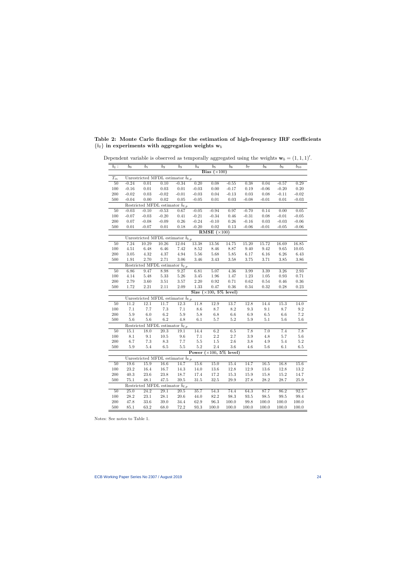Table 2: Monte Carlo findings for the estimation of high-frequency IRF coefficients  ${b_{\ell}}$  in experiments with aggregation weights  $w_b$ 

| $b_{\ell}$ :                                   | $\mathfrak{b}_0$ | $\overline{b_1}$  | $\overline{b_2}$                               | $b_3$             | $\overline{b_4}$ | $\overline{b_5}$                           | $\overline{b_6}$                | $\overline{b_7}$    | $\overline{b_8}$   | $\overline{b_9}$    | $b_{10}$   |
|------------------------------------------------|------------------|-------------------|------------------------------------------------|-------------------|------------------|--------------------------------------------|---------------------------------|---------------------|--------------------|---------------------|------------|
|                                                |                  |                   |                                                |                   |                  | Bias $(\times 100)$                        |                                 |                     |                    |                     |            |
| $T_m$                                          |                  |                   | Unrestricted MFDL estimator $\hat{b}_{\ell,p}$ |                   |                  |                                            |                                 |                     |                    |                     |            |
| 50                                             | $-0.24$          | 0.01              | 0.10                                           | $-0.34$           | 0.20             | 0.08                                       | $-0.55$                         | 0.38                | 0.04               | $-0.57$             | 0.29       |
| 100                                            | $-0.16$          | $0.01\,$          | 0.03                                           | $0.01\,$          | $-0.03$          | $0.00\,$                                   | $-0.17$                         | 0.19                | $-0.06$            | $-0.20$             | 0.20       |
| $200\,$                                        | $-0.02$          | $0.03\,$          | $-0.02$                                        | $-0.01$           | $-0.03$          | $0.04\,$                                   | $-0.13$                         | $0.03\,$            | $0.08\,$           | $-0.11$             | $-0.02$    |
| 500                                            | $-0.04$          | $0.00\,$          | $0.02\,$                                       | $0.05\,$          | $-0.05$          | $0.01\,$                                   | $0.03\,$                        | $-0.08$             | $-0.01$            | 0.01                | $-0.03$    |
|                                                |                  |                   | Restricted MFDL estimator $\tilde{b}_{\ell,p}$ |                   |                  |                                            |                                 |                     |                    |                     |            |
| 50                                             | $-0.03$          | $-0.10$           | $-0.53$                                        | $0.67$            | $-0.05$          | $-0.94$                                    | 0.97                            | $-0.70$             | 0.14               | 0.00                | 0.05       |
| $100\,$                                        | $-0.07$          | $-0.03$           | $-0.20$                                        | $0.41\,$          | $-0.21$          | $-0.34$                                    | $0.46\,$                        | $-0.31$             | $0.08\,$           | $-0.01$             | $-0.05$    |
| $200\,$                                        | $0.07\,$         | $-0.08$           | $-0.09$                                        | $0.26\,$          | $-0.24$          | $-0.10$                                    | $0.26\,$                        | $-0.16$             | $\rm 0.03$         | $-0.03$             | $-0.06$    |
| $500\,$                                        | $0.01\,$         | $-0.07$           | $0.01\,$                                       | $0.18\,$          | $-0.20$          | $0.02\,$                                   | $0.13\,$                        | $-0.06$             | $-0.01$            | $-0.05$             | $-0.06$    |
|                                                |                  |                   |                                                |                   |                  | RMSE $(\times 100)$                        |                                 |                     |                    |                     |            |
| Unrestricted MFDL estimator $\hat{b}_{\ell,p}$ |                  |                   |                                                |                   |                  |                                            |                                 |                     |                    |                     |            |
| $50\,$                                         | 7.24             | 10.29             | 10.26                                          | 12.04             | 13.38            | 13.56                                      | 14.75                           | 15.20               | 15.72              | 16.69               | 16.85      |
| $100\,$                                        | $4.51\,$         | 6.48              | 6.46                                           | 7.42              | $8.52\,$         | 8.46                                       | 8.87                            | 9.40                | $\ \, 9.42$        | $\ \, 9.65$         | 10.05      |
| 200                                            | $3.05\,$         | $4.32\,$          | $4.37\,$                                       | $4.94\,$          | $5.56\,$         | $5.68\,$                                   | $5.85\,$                        | $6.17\,$            | $6.16\,$           | $6.26\,$            | 6.43       |
| 500                                            | $1.91\,$         | 2.70              | $2.71\,$                                       | $3.06\,$          | $3.46\,$         | $3.43\,$                                   | $3.58\,$                        | $3.75\,$            | 3.71               | $3.85\,$            | 3.86       |
|                                                |                  |                   | Restricted MFDL estimator $\tilde{b}_{\ell,p}$ |                   |                  |                                            |                                 |                     |                    |                     |            |
| 50                                             | 6.86             | 9.47              | 8.98                                           | 9.27              | $6.81$           | 5.07                                       | 4.36                            | 3.99                | 3.39               | 3.26                | 2.93       |
| $100\,$                                        | 4.14             | $5.48\,$          | $5.33\,$                                       | $5.26\,$          | $3.45\,$         | 1.96                                       | $1.47\,$                        | $1.23\,$            | $1.05\,$           | $\rm 0.93$          | 0.71       |
| 200                                            | 2.79             | $3.60\,$          | $3.51\,$                                       | $3.57\,$          | $2.20\,$         | 0.92                                       | 0.71                            | 0.62                | $0.54\,$           | 0.46                | $0.36\,$   |
| $500\,$                                        | 1.72             | $2.21\,$          | $2.11\,$                                       | $2.09\,$          | $1.33\,$         | $0.47\,$<br>Size $(\times 100, 5\%$ level) | $0.36\,$                        | $0.34\,$            | $0.32\,$           | $0.28\,$            | 0.23       |
|                                                |                  |                   | Unrestricted MFDL estimator $\hat{b}_{\ell,p}$ |                   |                  |                                            |                                 |                     |                    |                     |            |
| $50\,$                                         | 11.2             | 12.1              | 11.7                                           | 12.3              | 11.8             | 12.9                                       | $\overline{13.7}$               | 12.8                | 14.4               | 15.3                | 14.0       |
| $100\,$                                        | $7.1\,$          | $7.7\,$           | $7.3\,$                                        | $7.1\,$           | $8.6\,$          | $8.7\,$                                    | $8.2\,$                         | $\rm 9.3$           | $\boldsymbol{9.1}$ | $8.7\,$             | $\ \, 9.2$ |
| $200\,$                                        | $5.9\,$          | $6.0\,$           | $6.2\,$                                        | $5.9\,$           | $5.8\,$          | $6.8\,$                                    | $6.6\,$                         | $6.9\,$             | $6.5\,$            | $6.6\,$             | $7.2\,$    |
| 500                                            | $5.6\,$          | $5.6\,$           | $6.2\,$                                        | $4.8\,$           | $6.1\,$          | $5.7\,$                                    | $5.2\,$                         | $5.9\,$             | $5.1\,$            | $5.6\,$             | $5.6\,$    |
|                                                |                  |                   | Restricted MFDL estimator $\tilde{b}_{\ell,p}$ |                   |                  |                                            |                                 |                     |                    |                     |            |
| $50\,$                                         | 15.1             | $\overline{18.0}$ | 20.3                                           | 19.1              | 14.4             | 6.2                                        | $6.5\,$                         | $\overline{7.8}$    | $\overline{7.0}$   | 7.4                 | 7.8        |
| $100\,$                                        | $8.1\,$          | $\rm 9.1$         | $10.5\,$                                       | $9.6\,$           | $7.1\,$          | $2.2\,$                                    | $2.7\,$                         | 3.9                 | $4.8\,$            | $5.7\,$             | $5.6\,$    |
| $200\,$                                        | $6.7\,$          | $7.3\,$           | $\!\!\!\!\!8.3$                                | $7.7\,$           | $5.5\,$          | $1.5\,$                                    | $2.6\,$                         | $\!.8$              | $4.9\,$            | $5.4\,$             | $5.2\,$    |
| $500\,$                                        | $5.9\,$          | $5.4\,$           | $6.5\,$                                        | $5.5\,$           | $5.2\,$          | $2.4\,$                                    | $3.6\,$                         | $4.6\,$             | $5.6\,$            | $6.1\,$             | $6.5\,$    |
|                                                |                  |                   |                                                |                   |                  |                                            | Power $(\times 100, 5\%$ level) |                     |                    |                     |            |
|                                                |                  |                   | Unrestricted MFDL estimator $\hat{b}_{\ell,p}$ |                   |                  |                                            |                                 |                     |                    |                     |            |
| $50\,$                                         | 19.6             | $\overline{15.9}$ | $\overline{16.6}$                              | 14.7              | $15.6\,$         | $\overline{15.0}$                          | 15.4                            | 14.7                | 16.5               | 16.8                | 15.6       |
| $100\,$                                        | 23.2             | $16.4\,$          | $16.7\,$                                       | $14.3\,$          | $14.0\,$         | $13.6\,$                                   | 12.8                            | $12.9\,$            | $13.6\,$           | $12.8\,$            | 13.2       |
| $200\,$                                        | $40.3\,$         | $23.6\,$          | $23.8\,$                                       | $18.7\,$          | $17.4\,$         | $17.2\,$                                   | $15.3\,$                        | $15.9\,$            | $15.8\,$           | $15.2\,$            | 14.7       |
| 500                                            | $75.1\,$         | $48.1\,$          | $47.5\,$                                       | $39.5\,$          | $31.5\,$         | $32.5\,$                                   | $29.9\,$                        | 27.8                | $28.2\,$           | 28.7                | 25.9       |
|                                                |                  |                   | Restricted MFDL estimator $b_{\ell,p}$         |                   |                  |                                            |                                 |                     |                    |                     |            |
| $50\,$                                         | 25.0             | $\overline{24.2}$ | 29.1                                           | $\overline{20.5}$ | 35.7             | 54.3                                       | 74.4                            | 64.3                | 87.7               | 86.2                | 92.5       |
| $100\,$                                        | $28.2\,$         | $23.1\,$          | $28.1\,$                                       | $20.6\,$          | 44.0             | $82.2\,$                                   | $98.3\,$                        | $\bf 93.5$          | $98.5\,$           | $\boldsymbol{99.5}$ | 99.4       |
| $200\,$                                        | 47.8             | $33.6\,$          | $39.0\,$                                       | $34.4\,$          | $62.9\,$         | $96.3\,$                                   | $100.0\,$                       | $\boldsymbol{99.8}$ | 100.0              | 100.0               | 100.0      |
| 500                                            | $85.1\,$         | 63.2              | 68.0                                           | 72.2              | $93.3\,$         | 100.0                                      | 100.0                           | $100.0\,$           | 100.0              | 100.0               | 100.0      |

Dependent variable is observed as temporally aggregated using the weights  $\mathbf{w}_b = (1, 1, 1)'.$ 

Notes: See notes to Table 1.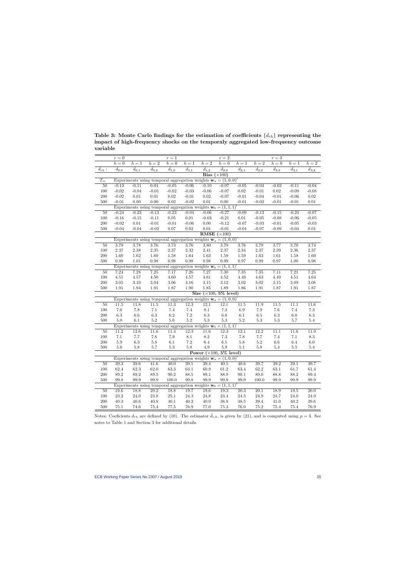Table 3: Monte Carlo findings for the estimation of coefficients  $\{d_{rh}\}$  representing the impact of high-frequency shocks on the temporaly aggregated low-frequency outcome variable

|                                                                                | $r=0$                                                                            |                                                                                      |                           | $r = 1$                    |                            |                                        | $r = 2$                         |                   |                   | $r = 3$         |                  |                   |
|--------------------------------------------------------------------------------|----------------------------------------------------------------------------------|--------------------------------------------------------------------------------------|---------------------------|----------------------------|----------------------------|----------------------------------------|---------------------------------|-------------------|-------------------|-----------------|------------------|-------------------|
|                                                                                | $\boldsymbol{h}=\boldsymbol{0}$                                                  | $h=1$                                                                                | $h=\overline{2}$          | $h=0$                      | $h=1$                      | $h=2$                                  | $\boldsymbol{h}=\boldsymbol{0}$ | $h=1$             | $h=\overline{2}$  | $h=0$           | $h=1$            | $h=2$             |
| $\hat{d}_{rh}$ :                                                               | $\hat{d}_{0,0}$                                                                  | $\overline{\hat d_{0,1}}$                                                            | $\overline{\hat d_{0,2}}$ | $\overline{\hat{d}_{1,0}}$ | $\overline{\hat{d}}_{1,1}$ | $\hat{d}_{1,2}$                        | $\hat{d}_{2,0}$                 | $\hat{d}_{2,1}$   | $\hat{d}_{2,2}$   | $\hat{d}_{3,0}$ | $\hat{d}_{3,1}$  | $\hat{d}_{3,2}$   |
|                                                                                |                                                                                  |                                                                                      |                           |                            |                            | Bias $(\times 100)$                    |                                 |                   |                   |                 |                  |                   |
| $T_m$                                                                          |                                                                                  | Experiments using temporal aggregation weights $\mathbf{w}_a = (1,0,0)^\prime$       |                           |                            |                            |                                        |                                 |                   |                   |                 |                  |                   |
| 50                                                                             | $-0.13$                                                                          | $-0.11$                                                                              | 0.04                      | $-0.05$                    | $-0.06$                    | $-0.10$                                | $-0.07$                         | $-0.05$           | $-0.04$           | $-0.03$         | $-0.11$          | $-0.04$           |
| $100\,$                                                                        | $-0.02$                                                                          | $-0.04$                                                                              | $\text{-}0.01$            | $-0.02$                    | $-0.03$                    | $-0.06$                                | $-0.07$                         | $0.02\,$          | $-0.01$           | $0.02\,$        | $-0.09$          | $-0.08$           |
| $200\,$                                                                        | $-0.02$                                                                          | $0.01\,$                                                                             | $0.01\,$                  | $0.02\,$                   | $-0.01$                    | $\rm 0.02$                             | $-0.07$                         | $-0.01$           | $-0.04$           | $-0.01$         | $-0.06$          | $0.02\,$          |
| 500                                                                            | $-0.01$                                                                          | $0.00\,$                                                                             | $0.00\,$                  | $0.02\,$                   | $-0.02$                    | $0.01\,$                               | 0.00                            | $-0.01$           | $-0.02$           | $-0.01$         | $-0.01$          | $0.01\,$          |
| 50                                                                             | $-0.24$                                                                          | Experiments using temporal aggregation weights $\mathbf{w}_b = (1, 1, 1)$<br>$-0.23$ | $-0.13$                   | $-0.23$                    | $-0.04$                    | $-0.06$                                | $-0.27$                         | $-0.09$           | $-0.13$           | $-0.15$         | $-0.24$          | $-0.07$           |
| $100\,$                                                                        | $-0.16$                                                                          | $-0.15$                                                                              | $-0.11$                   | $0.05\,$                   | $0.01\,$                   | $-0.03$                                | $-0.21$                         | $0.01\,$          | $-0.05$           | $-0.08$         | $-0.06$          | $-0.05$           |
| $200\,$                                                                        | $-0.02$                                                                          | $0.01\,$                                                                             | $-0.01$                   | $-0.01$                    | $-0.06$                    | $0.00\,$                               | $-0.12$                         | $-0.07$           | $-0.03$           | $-0.01$         | $-0.05$          | $-0.03$           |
| 500                                                                            | $-0.04$                                                                          | $-0.04$                                                                              | $-0.02$                   | 0.07                       | $0.02\,$                   | $0.01\,$                               | $-0.01$                         | $-0.04$           | $-0.07$           | $-0.09$         | $-0.04$          | 0.01              |
|                                                                                |                                                                                  |                                                                                      |                           |                            |                            | RMSE                                   | $(\times 100)$                  |                   |                   |                 |                  |                   |
| Experiments using temporal aggregation weights $\mathbf{w}_a = (1,0,0)^\prime$ |                                                                                  |                                                                                      |                           |                            |                            |                                        |                                 |                   |                   |                 |                  |                   |
| 50                                                                             | 3.79                                                                             | 3.78                                                                                 | 3.76                      | 3.73                       | 3.76                       | $\overline{3.80}$                      | 3.79                            | 3.76              | 3.79              | 3.77            | 3.70             | 3.74              |
| $100\,$                                                                        | 2.37                                                                             | $2.38\,$                                                                             | $2.35\,$                  | $2.37\,$                   | $2.32\,$                   | 2.41                                   | $2.37\,$                        | $2.34\,$          | $2.37\,$          | $2.39\,$        | 2.36             | $2.37\,$          |
| $200\,$                                                                        | $1.60\,$                                                                         | $1.62\,$                                                                             | $1.60\,$                  | $1.58\,$                   | $1.64\,$                   | $1.63\,$                               | $1.59\,$                        | $1.59\,$          | $1.63\,$          | 1.61            | $1.58\,$         | $1.60\,$          |
| $500\,$                                                                        | 0.99                                                                             | $1.01\,$                                                                             | 0.98                      | 0.98                       | 0.98                       | $\rm 0.98$                             | $0.99\,$                        | $0.97\,$          | $0.99\,$          | $0.97\,$        | 1.00             | 0.98              |
|                                                                                | Experiments using temporal aggregation weights $\mathbf{w}_b = (1, 1, 1)^\prime$ |                                                                                      |                           |                            |                            |                                        |                                 |                   |                   |                 |                  |                   |
| 50                                                                             | 7.24                                                                             | 7.28                                                                                 | 7.25                      | 7.17                       | 7.26                       | 7.27                                   | 7.30                            | $\overline{7.35}$ | 7.35              | 7.11            | 7.21             | 7.25              |
| $100\,$                                                                        | $4.51\,$                                                                         | $4.57\,$                                                                             | $4.50\,$                  | $4.60\,$                   | $4.57\,$                   | $4.61\,$                               | $4.52\,$                        | $4.49\,$          | $4.63\,$          | $4.49\,$        | $4.51\,$         | $4.64\,$          |
| $200\,$                                                                        | $3.05\,$                                                                         | $3.10\,$                                                                             | $3.04\,$                  | $3.06\,$                   | $3.16\,$                   | $3.15\,$                               | $3.12\,$                        | $3.02\,$          | $3.02\,$          | $3.15\,$        | $3.09\,$         | $3.08\,$          |
| 500                                                                            | 1.91                                                                             | 1.94                                                                                 | 1.91                      | 1.87                       | $1.90\,$                   | 1.85<br>Size $(\times 100, 5\%$ level) | 1.89                            | 1.86              | 1.91              | 1.87            | 1.91             | 1.87              |
|                                                                                |                                                                                  | Experiments using temporal aggregation weights $\mathbf{w}_a = (1,0,0)$              |                           |                            |                            |                                        |                                 |                   |                   |                 |                  |                   |
| 50                                                                             | 11.5                                                                             | 11.8                                                                                 | 11.5                      | $11.3$                     | 12.3                       | 12.1                                   | 12.1                            | $11.5$            | 11.9              | $11.5\,$        | 11.1             | 11.6              |
| 100                                                                            | $7.6\,$                                                                          | $7.8\,$                                                                              | 7.1                       | 7.4                        | 7.4                        | 8.1                                    | $7.3\,$                         | $6.9\,$           | $7.9\,$           | 7.6             | 7.4              | $7.3\,$           |
| $200\,$                                                                        | $6.3\,$                                                                          | $6.6\,$                                                                              | $6.3\,$                   | $6.2\,$                    | $7.2\,$                    | $6.3\,$                                | $6.0\,$                         | $6.1\,$           | $6.5\,$           | $6.3\,$         | $6.0\,$          | $6.3\,$           |
| 500                                                                            | $5.0\,$                                                                          | $6.1\,$                                                                              | $5.2\,$                   | $5.6\,$                    | $5.2\,$                    | $5.3\,$                                | $5.3\,$                         | $5.2\,$           | $5.3\,$           | $5.3\,$         | 5.7              | $5.4\,$           |
|                                                                                |                                                                                  | Experiments using temporal aggregation weights $\mathbf{w}_b = (1, 1, 1)$            |                           |                            |                            |                                        |                                 |                   |                   |                 |                  |                   |
| 50                                                                             | $11.2\,$                                                                         | 12.6                                                                                 | $11.6\,$                  | $11.4\,$                   | 12.3                       | 11.6                                   | 12.3                            | 12.1              | 12.2              | 11.1            | 11.6             | 11.9              |
| $100\,$                                                                        | 7.1                                                                              | $7.7\,$                                                                              | $7.6\,$                   | $7.9\,$                    | 8.1                        | $\!\!\!\!\!8.2$                        | $7.3\,$                         | $7.8\,$           | $7.7\,$           | $7.4\,$         | $7.1\,$          | $\!\!\!\!\!8.3$   |
| $200\,$                                                                        | $5.9\,$                                                                          | $6.3\,$                                                                              | $5.8\,$                   | $6.1\,$                    | $7.2\,$                    | $6.4\,$                                | $6.5\,$                         | $5.8\,$           | $5.2\,$           | $6.6\,$         | $6.4\,$          | $6.0\,$           |
| 500                                                                            | $5.6\,$                                                                          | $5.8\,$                                                                              | $5.7\,$                   | $5.3\,$                    | $5.8\,$                    | $4.9\,$                                | $5.9\,$                         | 5.1               | $5.8\,$           | 5.4             | 5.5              | 5.4               |
|                                                                                |                                                                                  |                                                                                      |                           |                            |                            | Power $(\times 100, 5\%$ level)        |                                 |                   |                   |                 |                  |                   |
|                                                                                |                                                                                  | Experiments using temporal aggregation weights $\mathbf{w}_a = (1,0,0)$              |                           |                            |                            |                                        |                                 |                   |                   |                 |                  |                   |
| $50\,$                                                                         | $39.3\,$                                                                         | 39.6                                                                                 | 41.6                      | 40.0                       | 39.1                       | 39.4                                   | 40.5                            | 40.6              | 39.7              | 39.2            | 39.1             | 39.7              |
| 100                                                                            | 62.4                                                                             | 62.3                                                                                 | $62.0\,$                  | $63.3\,$                   | $63.1\,$                   | $60.9\,$                               | 61.2                            | 63.4              | 62.2              | 63.1            | 61.7             | 61.4              |
| 200<br>500                                                                     | $89.2\,$<br>99.8                                                                 | $89.2\,$<br>99.9                                                                     | $89.5\,$<br>99.9          | $90.2\,$<br>100.0          | 88.5<br>99.8               | $89.1\,$<br>$99.9\,$                   | 88.9<br>99.9                    | $90.1\,$<br>99.9  | $89.0\,$<br>100.0 | 88.8<br>99.9    | $88.2\,$<br>99.9 | 89.4<br>99.9      |
|                                                                                |                                                                                  | Experiments using temporal aggregation weights $\mathbf{w}_b = (1, 1, 1)$            |                           |                            |                            |                                        |                                 |                   |                   |                 |                  |                   |
| 50                                                                             | 19.6                                                                             | 18.8                                                                                 | 20.2                      | 18.8                       | 19.7                       | $19.6\,$                               | 19.3                            | 20.3              | 20.1              | 18.9            | 19.5             | $\overline{20.0}$ |
| 100                                                                            | $23.2\,$                                                                         | 24.0                                                                                 | 23.8                      | $25.1\,$                   | 24.3                       | 24.8                                   | 23.4                            | 24.5              | 24.9              | 24.7            | 24.0             | $24.9\,$          |
| $200\,$                                                                        | $40.3\,$                                                                         | $40.6\,$                                                                             | 40.8                      | $40.1\,$                   | $40.2\,$                   | $40.9\,$                               | 38.8                            | $38.5\,$          | $39.4\,$          | 41.0            | $40.2\,$         | $39.6\,$          |
| 500                                                                            | $75.1\,$                                                                         | 74.6                                                                                 | $75.4\,$                  | $77.5\,$                   | $76.9\,$                   | 77.0                                   | $75.3\,$                        | 76.0              | $75.2\,$          | $75.4\,$        | $75.4\,$         | $76.9\,$          |

Notes: Coeficients  $d_{rh}$  are defined by (10). The estimator  $\hat{d}_{r,h}$ , is given by (21), and is computed using  $p = 3$ . See notes to Table 1 and Section 3 for additional details.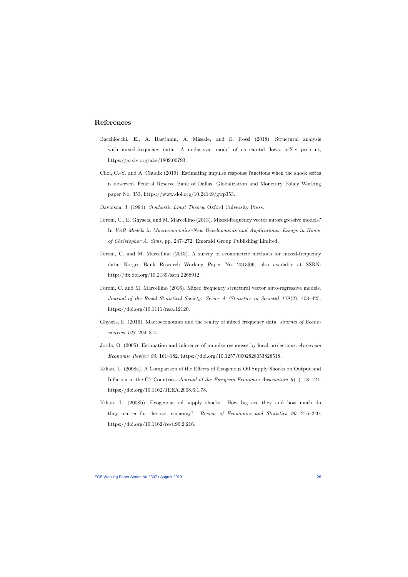# References

- Bacchiocchi, E., A. Bastianin, A. Missale, and E. Rossi (2018). Structural analysis with mixed-frequency data: A midas-svar model of us capital flows. arXiv preprint, https://arxiv.org/abs/1802.00793.
- Choi, C.-Y. and A. Chudik (2019). Estimating impulse response functions when the shock series is observed. Federal Reserve Bank of Dallas, Globalization and Monetary Policy Working paper No. 353, https://www.doi.org/10.24149/gwp353.
- Davidson, J. (1994). Stochastic Limit Theory. Oxford University Press.
- Foroni, C., E. Ghysels, and M. Marcellino (2013). Mixed-frequency vector autoregressive models? In VAR Models in Macroeconomics–New Developments and Applications: Essays in Honor of Christopher A. Sims, pp. 247–272. Emerald Group Publishing Limited.
- Foroni, C. and M. Marcellino (2013). A survey of econometric methods for mixed-frequency data. Norges Bank Research Working Paper No. 2013|06, also available at SSRN: http://dx.doi.org/10.2139/ssrn.2268912.
- Foroni, C. and M. Marcellino (2016). Mixed frequency structural vector auto-regressive models. Journal of the Royal Statistical Society: Series A (Statistics in Society)  $179(2)$ ,  $403-425$ . https://doi.org/10.1111/rssa.12120.
- Ghysels, E. (2016). Macroeconomics and the reality of mixed frequency data. Journal of Econometrics 193, 294–314.
- Jorda, O. (2005). Estimation and inference of impulse responses by local projections. American Economic Review 95, 161–182. https://doi.org/10.1257/0002828053828518.
- Kilian, L. (2008a). A Comparison of the Effects of Exogenous Oil Supply Shocks on Output and Inflation in the G7 Countries. Journal of the European Economic Association  $6(1)$ , 78–121. https://doi.org/10.1162/JEEA.2008.6.1.78.
- Kilian, L. (2008b). Exogenous oil supply shocks: How big are they and how much do they matter for the u.s. economy? Review of Economics and Statistics  $90, 216-240$ . https://doi.org/10.1162/rest.90.2.216.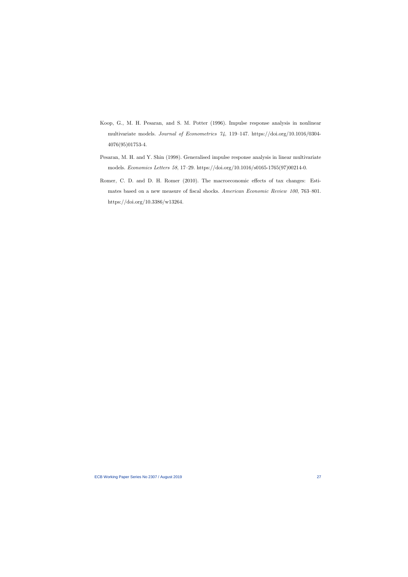- Koop, G., M. H. Pesaran, and S. M. Potter (1996). Impulse response analysis in nonlinear multivariate models. Journal of Econometrics  $\gamma_4$ , 119–147. https://doi.org/10.1016/0304-4076(95)01753-4.
- Pesaran, M. H. and Y. Shin (1998). Generalised impulse response analysis in linear multivariate models. Economics Letters 58, 17-29. https://doi.org/10.1016/s0165-1765(97)00214-0.
- Romer, C. D. and D. H. Romer (2010). The macroeconomic effects of tax changes: Estimates based on a new measure of fiscal shocks. American Economic Review 100, 763-801. https://doi.org/10.3386/w13264.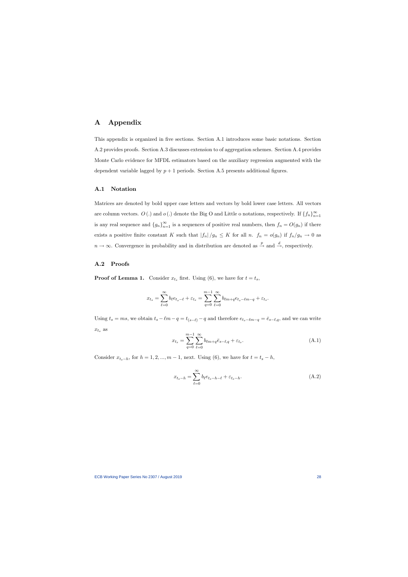# A Appendix

This appendix is organized in five sections. Section A.1 introduces some basic notations. Section A.2 provides proofs. Section A.3 discusses extension to of aggregation schemes. Section A.4 provides Monte Carlo evidence for MFDL estimators based on the auxiliary regression augmented with the dependent variable lagged by  $p + 1$  periods. Section A.5 presents additional figures.

## A.1 Notation

Matrices are denoted by bold upper case letters and vectors by bold lower case letters. All vectors are column vectors.  $O(.)$  and  $o(.)$  denote the Big O and Little o notations, respectively. If  $\{f_n\}_{n=1}^{\infty}$ is any real sequence and  ${g_n}_{n=1}^{\infty}$  is a sequences of positive real numbers, then  $f_n = O(g_n)$  if there exists a positive finite constant K such that  $|f_n|/g_n \leq K$  for all n.  $f_n = o(g_n)$  if  $f_n/g_n \to 0$  as  $n \to \infty$ . Convergence in probability and in distribution are denoted as  $\stackrel{p}{\to}$  and  $\stackrel{d}{\to}$ , respectively.

## A.2 Proofs

**Proof of Lemma 1.** Consider  $x_{t_s}$  first. Using (6), we have for  $t = t_s$ ,

$$
x_{t_s} = \sum_{\ell=0}^{\infty} b_{\ell} e_{t_s-\ell} + \varepsilon_{t_s} = \sum_{q=0}^{m-1} \sum_{\ell=0}^{\infty} b_{\ell m + q} e_{t_s-\ell m - q} + \varepsilon_{t_s}.
$$

Using  $t_s = ms$ , we obtain  $t_s - \ell m - q = t_{(s-\ell)} - q$  and therefore  $e_{t_s-\ell m-q} = \bar{e}_{s-\ell,q}$ , and we can write  $x_{t_s}$  as

$$
x_{t_s} = \sum_{q=0}^{m-1} \sum_{\ell=0}^{\infty} b_{\ell m + q} \bar{e}_{s-\ell,q} + \varepsilon_{t_s}.
$$
\n(A.1)

Consider  $x_{t_s-h}$ , for  $h = 1, 2, ..., m - 1$ , next. Using (6), we have for  $t = t_s - h$ ,

$$
x_{t_s-h} = \sum_{\ell=0}^{\infty} b_{\ell} e_{t_s-h-\ell} + \varepsilon_{t_s-h}.
$$
\n(A.2)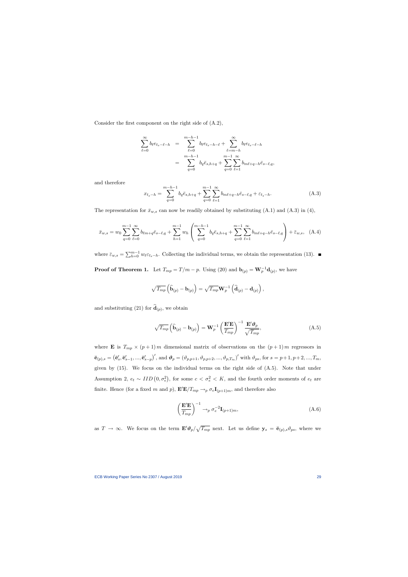Consider the first component on the right side of  $(A.2)$ ,

$$
\sum_{\ell=0}^{\infty} b_{\ell} e_{t_s - \ell - h} = \sum_{\ell=0}^{m-h-1} b_{\ell} e_{t_s - h - \ell} + \sum_{\ell=m-h}^{\infty} b_{\ell} e_{t_s - \ell - h}
$$

$$
= \sum_{q=0}^{m-h-1} b_q \bar{e}_{s,h+q} + \sum_{q=0}^{m-1} \sum_{\ell=1}^{\infty} b_{m\ell + q - h} \bar{e}_{s-\ell,q},
$$

and therefore

$$
x_{t_s-h} = \sum_{q=0}^{m-h-1} b_q \bar{e}_{s,h+q} + \sum_{q=0}^{m-1} \sum_{\ell=1}^{\infty} b_{m\ell+q-h} \bar{e}_{s-\ell,q} + \varepsilon_{t_s-h}.
$$
 (A.3)

The representation for  $\bar{x}_{w,s}$  can now be readily obtained by substituting (A.1) and (A.3) in (4),

$$
\bar{x}_{w,s} = w_0 \sum_{q=0}^{m-1} \sum_{\ell=0}^{\infty} b_{\ell m+q} \bar{e}_{s-\ell,q} + \sum_{h=1}^{m-1} w_h \left( \sum_{q=0}^{m-h-1} b_q \bar{e}_{s,h+q} + \sum_{q=0}^{m-1} \sum_{\ell=1}^{\infty} b_{m\ell+q-h} \bar{e}_{s-\ell,q} \right) + \bar{\varepsilon}_{w,s}, \quad (A.4)
$$

where  $\bar{\varepsilon}_{w,s} = \sum_{h=0}^{m-1} w_{\ell} \varepsilon_{t_{s}-h}$ . Collecting the individual terms, we obtain the representation (13).

**Proof of Theorem 1.** Let  $T_{mp} = T/m - p$ . Using (20) and  $\mathbf{b}_{(p)} = \mathbf{W}_p^{-1} \mathbf{d}_{(p)}$ , we have

$$
\sqrt{T_{mp}}\left(\widehat{\mathbf{b}}_{(p)}-\mathbf{b}_{(p)}\right)=\sqrt{T_{mp}}\mathbf{W}_p^{-1}\left(\widehat{\mathbf{d}}_{(p)}-\mathbf{d}_{(p)}\right),\,
$$

and substituting (21) for  $\mathbf{d}_{(p)}$ , we obtain

$$
\sqrt{T_{mp}}\left(\widehat{\mathbf{b}}_{(p)}-\mathbf{b}_{(p)}\right)=\mathbf{W}_p^{-1}\left(\frac{\mathbf{E}'\mathbf{E}}{T_{mp}}\right)^{-1}\frac{\mathbf{E}'\boldsymbol{\vartheta}_p}{\sqrt{T_{mp}}},\tag{A.5}
$$

where **E** is  $T_{mp} \times (p+1)$  m dimensional matrix of observations on the  $(p+1)$  m regressors in  $\mathbf{\bar{e}}_{(p),s} = (\mathbf{\bar{e}}'_s, \mathbf{\bar{e}}'_{s-1}, ..., \mathbf{\bar{e}}'_{s-p})'$ , and  $\mathbf{\vartheta}_p = (\vartheta_{p,p+1}, \vartheta_{p,p+2}, ..., \vartheta_{p,T_m})'$  with  $\vartheta_{ps}$ , for  $s = p+1, p+2, ..., T_m$ , given by (15). We focus on the individual terms on the right side of (A.5). Note that under Assumption 2,  $e_t \sim IID(0, \sigma_e^2)$ , for some  $c < \sigma_e^2 < K$ , and the fourth order moments of  $e_t$  are finite. Hence (for a fixed m and p),  $\mathbf{E}'\mathbf{E}/T_{mp} \rightarrow_p \sigma_e \mathbf{I}_{(p+1)m}$ , and therefore also

$$
\left(\frac{\mathbf{E}'\mathbf{E}}{T_{mp}}\right)^{-1} \to_p \sigma_e^{-2} \mathbf{I}_{(p+1)m},\tag{A.6}
$$

as  $T \to \infty$ . We focus on the term  $\mathbf{E}' \mathbf{\vartheta}_p / \sqrt{T_{mp}}$  next. Let us define  $\mathbf{y}_s = \bar{\mathbf{e}}_{(p),s} \mathbf{\vartheta}_{ps}$ , where we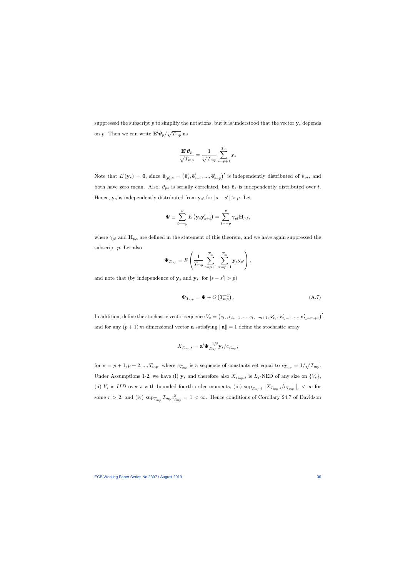suppressed the subscript  $p$  to simplify the notations, but it is understood that the vector  $y_s$  depends on p. Then we can write  $\mathbf{E}' \mathbf{\vartheta}_p / \sqrt{T_{mp}}$  as

$$
\frac{\mathbf{E}'\pmb{\vartheta}_p}{\sqrt{T_{mp}}} = \frac{1}{\sqrt{T_{mp}}} \sum_{s=p+1}^{T_m} \mathbf{y}_s
$$

Note that  $E(\mathbf{y}_s) = \mathbf{0}$ , since  $\bar{\mathbf{e}}_{(p),s} = (\bar{\mathbf{e}}'_s, \bar{\mathbf{e}}'_{s-1}, ..., \bar{\mathbf{e}}'_{s-p})'$  is independently distributed of  $\vartheta_{ps}$ , and both have zero mean. Also,  $\vartheta_{ps}$  is serially correlated, but  $\bar{\mathbf{e}}_s$  is independently distributed over t. Hence,  $y_s$  is independently distributed from  $y_{s'}$  for  $|s - s'| > p$ . Let

$$
\mathbf{\Psi} \equiv \sum_{\ell=-p}^p E\left(\mathbf{y}_s \mathbf{y}_{s+\ell}'\right) = \sum_{\ell=-p}^p \gamma_{p\ell} \mathbf{H}_{p,\ell},
$$

where  $\gamma_{p\ell}$  and  $\mathbf{H}_{p,\ell}$  are defined in the statement of this theorem, and we have again suppressed the subscript p. Let also

$$
\Psi_{T_{mp}} = E \left( \frac{1}{T_{mp}} \sum_{s=p+1}^{T_m} \sum_{s'=p+1}^{T_m} \mathbf{y}_s \mathbf{y}_{s'} \right),
$$

and note that (by independence of  $y_s$  and  $y_{s'}$  for  $|s - s'| > p$ )

$$
\mathbf{\Psi}_{T_{mp}} = \mathbf{\Psi} + O\left(T_{mp}^{-1}\right). \tag{A.7}
$$

In addition, define the stochastic vector sequence  $V_s = (e_{t_s}, e_{t_s-1}, ..., e_{t_s-m+1}, \mathbf{v}'_{t_s}, \mathbf{v}'_{t_s-1}, ..., \mathbf{v}'_{t_s-m+1})'$ and for any  $(p+1)$  m dimensional vector **a** satisfying  $\|\mathbf{a}\| = 1$  define the stochastic array

$$
X_{T_{mp},s} = \mathbf{a}' \mathbf{\Psi}_{T_{mp}}^{-1/2} \mathbf{y}_s / c_{T_{mp}},
$$

for  $s = p + 1, p + 2, ..., T_{mp}$ , where  $c_{T_{mp}}$  is a sequence of constants set equal to  $c_{T_{mp}} = 1/\sqrt{T_{mp}}$ . Under Assumptions 1-2, we have (i)  $y_s$  and therefore also  $X_{T_{mp},s}$  is  $L_2$ -NED of any size on  $\{V_s\}$ , (ii)  $V_s$  is IID over s with bounded fourth order moments, (iii)  $\sup_{T_{mp},t} ||X_{T_{mp},s}/c_{T_{mp}}||_r < \infty$  for some  $r > 2$ , and (iv)  $\sup_{T_{mp}} T_{mp} c_{T_{mp}}^2 = 1 < \infty$ . Hence conditions of Corollary 24.7 of Davidson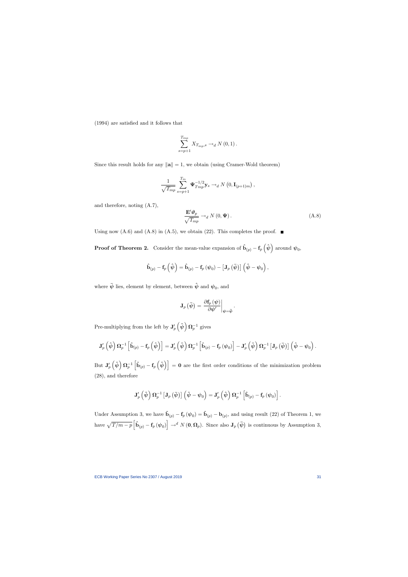$(1994)$  are satisfied and it follows that

$$
\sum_{s=p+1}^{T_{mp}} X_{T_{mp},s} \to_d N(0,1).
$$

Since this result holds for any  $\|\mathbf{a}\| = 1$ , we obtain (using Cramer-Wold theorem)

$$
\frac{1}{\sqrt{T_{mp}}} \sum_{s=p+1}^{T_m} \Psi_{Tmp}^{-1/2} \mathbf{y}_s \to_d N\left(0, \mathbf{I}_{(p+1)m}\right),
$$

and therefore, noting (A.7),

$$
\frac{\mathbf{E}'\boldsymbol{\vartheta}_p}{\sqrt{T_{mp}}} \to_d N(0, \boldsymbol{\Psi}). \tag{A.8}
$$

Using now  $(A.6)$  and  $(A.8)$  in  $(A.5)$ , we obtain (22). This completes the proof.  $\blacksquare$ 

**Proof of Theorem 2.** Consider the mean-value expansion of  $\hat{\mathbf{b}}_{(p)} - \mathbf{f}_p \left( \hat{\boldsymbol{\psi}} \right)$  around  $\boldsymbol{\psi}_0$ ,

$$
\mathbf{\hat{b}}_{\left(p\right)}-\mathbf{f}_{p}\left(\mathbf{\hat{\boldsymbol{\psi}}}\right)=\mathbf{\hat{b}}_{\left(p\right)}-\mathbf{f}_{p}\left(\mathbf{\boldsymbol{\psi}}_{0}\right)-\left[\mathbf{J}_{p}\left(\mathbf{\bar{\boldsymbol{\psi}}}\right)\right]\left(\mathbf{\hat{\boldsymbol{\psi}}}-\mathbf{\boldsymbol{\psi}}_{0}\right),
$$

where  $\bar{\psi}$  lies, element by element, between  $\hat{\psi}$  and  $\psi_0$ , and

$$
\mathbf{J}_{p}\left(\bar{\psi}\right)=\left.\frac{\partial\mathbf{f}_{p}\left(\psi\right)}{\partial\psi'}\right|_{\psi=\bar{\psi}}.
$$

Pre-multiplying from the left by  $\mathbf{J}'_p\left(\hat{\boldsymbol{\psi}}\right) \boldsymbol{\Omega}_p^{-1}$  gives

$$
\mathbf{J}_p'\left(\hat{\boldsymbol{\psi}}\right)\boldsymbol{\Omega}_p^{-1}\left[\hat{\mathbf{b}}_{(p)}-\mathbf{f}_p\left(\hat{\boldsymbol{\psi}}\right)\right]=\mathbf{J}_p'\left(\hat{\boldsymbol{\psi}}\right)\boldsymbol{\Omega}_p^{-1}\left[\hat{\mathbf{b}}_{(p)}-\mathbf{f}_p\left(\boldsymbol{\psi}_0\right)\right]-\mathbf{J}_p'\left(\hat{\boldsymbol{\psi}}\right)\boldsymbol{\Omega}_p^{-1}\left[\mathbf{J}_p\left(\bar{\boldsymbol{\psi}}\right)\right]\left(\hat{\boldsymbol{\psi}}-\boldsymbol{\psi}_0\right).
$$

But  $J'_p(\hat{\psi}) \Omega_p^{-1} \left[\hat{b}_{(p)} - \mathbf{f}_p(\hat{\psi})\right] = 0$  are the first order conditions of the minimization problem (28), and therefore

$$
\mathbf{J}_p'\left(\hat{\boldsymbol{\psi}}\right)\boldsymbol{\Omega}_p^{-1}\left[\mathbf{J}_p\left(\bar{\boldsymbol{\psi}}\right)\right]\left(\hat{\boldsymbol{\psi}}-\boldsymbol{\psi}_0\right)=\mathbf{J}_p'\left(\hat{\boldsymbol{\psi}}\right)\boldsymbol{\Omega}_p^{-1}\left[\mathbf{\hat{b}}_{\left(p\right)}-\mathbf{f}_p\left(\boldsymbol{\psi}_0\right)\right].
$$

have  $\sqrt{T/m-p} \left[\hat{\mathbf{b}}_{(p)} - \mathbf{f}_p (\psi_0)\right] \to^d N(\mathbf{0}, \mathbf{\Omega}_p)$ . Since also  $\mathbf{J}_p(\bar{\psi})$  is continuous by Assumption 3, Under Assumption 3, we have  $\hat{\mathbf{b}}_{(p)} - \mathbf{f}_p (\psi_0) = \hat{\mathbf{b}}_{(p)} - \mathbf{b}_{(p)}$ , and using result (22) of Theorem 1, we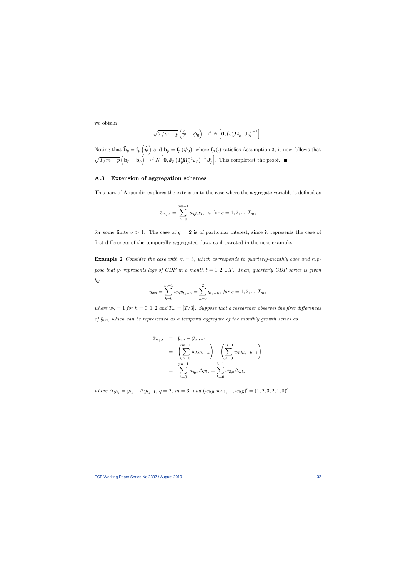we obtain

$$
\sqrt{T/m-p}\left(\hat{\boldsymbol{\psi}}-\boldsymbol{\psi}_0\right)\rightarrow^d N\left[\mathbf{0},\left(\mathbf{J}_p'\mathbf{\Omega}_p^{-1}\mathbf{J}_p\right)^{-1}\right].
$$

Noting that  $\tilde{\mathbf{b}}_p = \mathbf{f}_p \left( \hat{\boldsymbol{\psi}} \right)$  and  $\mathbf{b}_p = \mathbf{f}_p \left( \boldsymbol{\psi}_0 \right)$ , where  $\mathbf{f}_p$  (.) satisfies Assumption 3, it now follows that  $\sqrt{T/m-p}\left(\tilde{\textbf{b}}_p-\textbf{b}_p\right) \rightarrow^d N \left[\textbf{0},\textbf{J}_p \left(\textbf{J}_p^{\prime} \boldsymbol{\Omega}_p^{-1} \textbf{J}_p\right)^{-1} \textbf{J}_p^{\prime} \right]$ . This completest the proof.

# A.3 Extension of aggregation schemes

This part of Appendix explores the extension to the case where the aggregate variable is defined as

$$
\bar{x}_{w_q,s} = \sum_{h=0}^{qm-1} w_{qh} x_{t_s-h}
$$
, for  $s = 1, 2, ..., T_m$ ,

for some finite  $q > 1$ . The case of  $q = 2$  is of particular interest, since it represents the case of first-differences of the temporally aggregated data, as illustrated in the next example.

**Example 2** Consider the case with  $m = 3$ , which corresponds to quarterly-monthly case and suppose that  $y_t$  represents logs of GDP in a month  $t = 1, 2, ...T$ . Then, quarterly GDP series is given by

$$
\bar{y}_{ws} = \sum_{h=0}^{m-1} w_h y_{t_s-h} = \sum_{h=0}^{2} y_{t_s-h}, \text{ for } s = 1, 2, ..., T_m,
$$

where  $w_h = 1$  for  $h = 0, 1, 2$  and  $T_m = [T/3]$ . Suppose that a researcher observes the first differences of  $\bar{y}_{wt}$ , which can be represented as a temporal aggregate of the monthly growth series as

$$
\begin{array}{rcl}\n\bar{x}_{w_q,s} & = & \bar{y}_{ws} - \bar{y}_{w,s-1} \\
& = & \left(\sum_{h=0}^{m-1} w_h y_{t_s-h}\right) - \left(\sum_{h=0}^{m-1} w_h y_{t_s-h-1}\right) \\
& = & \sum_{h=0}^{qm-1} w_{q,h} \Delta y_{t_s} = \sum_{h=0}^{6-1} w_{2,h} \Delta y_{t_s},\n\end{array}
$$

where  $\Delta y_{t_s} = y_{t_s} - \Delta y_{t_s-1}, q = 2, m = 3, and (w_{2,0}, w_{2,1}, ..., w_{2,5})' = (1, 2, 3, 2, 1, 0)'$ .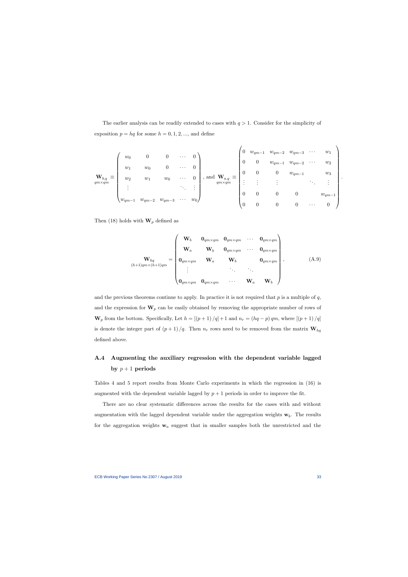The earlier analysis can be readily extended to cases with  $q > 1$ . Consider for the simplicity of exposition  $p = hq$  for some  $h = 0, 1, 2, \dots$ , and define

$$
\mathbf{W}_{b,q} \equiv \begin{pmatrix} w_0 & 0 & 0 & \cdots & 0 \\ w_1 & w_0 & 0 & \cdots & 0 \\ w_2 & w_1 & w_0 & \cdots & 0 \\ \vdots & & & \ddots & \vdots \\ w_{qm-1} & w_{qm-2} & w_{qm-3} & \cdots & w_0 \end{pmatrix}, \text{ and } \mathbf{W}_{a,q} \equiv \begin{pmatrix} 0 & w_{qm-1} & w_{qm-3} & \cdots & w_1 \\ 0 & 0 & w_{qm-1} & w_{qm-2} & \cdots & w_2 \\ 0 & 0 & 0 & w_{qm-1} & w_3 \\ \vdots & & & \vdots & \vdots & \ddots & \vdots \\ 0 & 0 & 0 & 0 & w_{qm-1} \\ 0 & 0 & 0 & 0 & \cdots & 0 \end{pmatrix}
$$

Then (18) holds with  $\mathbf{W}_p$  defined as

$$
\mathbf{W}_{hq} = \begin{pmatrix} \mathbf{W}_b & \mathbf{0}_{qm \times qm} & \mathbf{0}_{qm \times qm} & \cdots & \mathbf{0}_{qm \times qm} \\ \mathbf{W}_a & \mathbf{W}_b & \mathbf{0}_{qm \times qm} & \cdots & \mathbf{0}_{qm \times qm} \\ \mathbf{0}_{qm \times qm} & \mathbf{W}_a & \mathbf{W}_b & \mathbf{0}_{qm \times qm} \\ \vdots & \vdots & \ddots & \vdots \\ \mathbf{0}_{qm \times qm} & \mathbf{0}_{qm \times qm} & \cdots & \mathbf{W}_a & \mathbf{W}_b \end{pmatrix},
$$
(A.9)

and the previous theorems continue to apply. In practice it is not required that  $p$  is a multiple of  $q$ , and the expression for  $\mathbf{W}_p$  can be easily obtained by removing the appropriate number of rows of  $\mathbf{W}_p$  from the bottom. Specifically, Let  $h = \left[\left(p+1\right)/q\right] + 1$  and  $n_r = \left(hq - p\right)qm$ , where  $\left[\left(p+1\right)/q\right]$ is denote the integer part of  $(p+1)/q$ . Then  $n_r$  rows need to be removed from the matrix  $\mathbf{W}_{hq}$ defined above.

# A.4 Augmenting the auxiliary regression with the dependent variable lagged by  $p+1$  periods

Tables 4 and 5 report results from Monte Carlo experiments in which the regression in (16) is augmented with the dependent variable lagged by  $p + 1$  periods in order to improve the fit.

There are no clear systematic differences across the results for the cases with and without augmentation with the lagged dependent variable under the aggregation weights  $w_b$ . The results for the aggregation weights  $w_a$  suggest that in smaller samples both the unrestricted and the .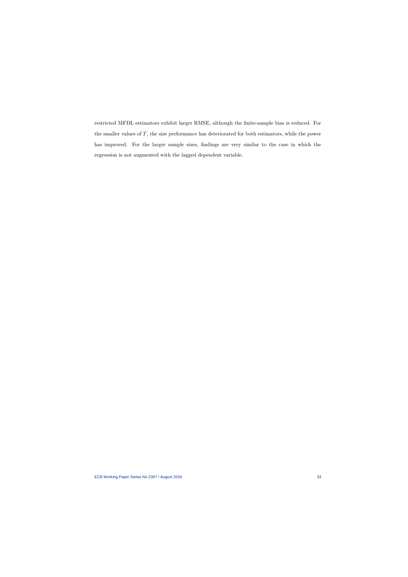restricted MFDL estimators exhibit larger RMSE, although the finite-sample bias is reduced. For the smaller values of  $T$ , the size performance has deteriorated for both estimators, while the power has improved. For the larger sample sizes, findings are very similar to the case in which the regression is not augmented with the lagged dependent variable.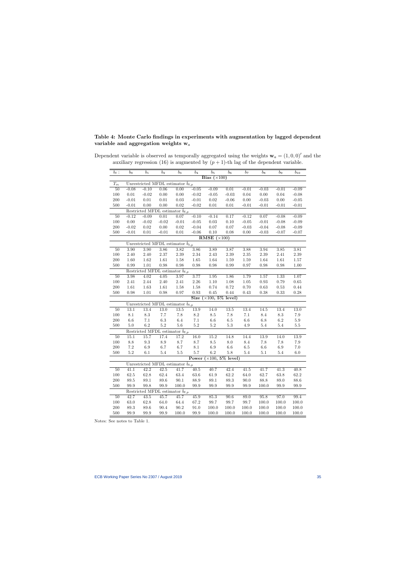# Table 4: Monte Carlo findings in experiments with augmentation by lagged dependent variable and aggregation weights  $w_a$

| $b_\ell:$                                      | $b_0$    | $b_1$           | $b_2$                                                  | $b_3$    | $b_4$    | $\mathfrak{b}_5$<br>Bias $(\times 100)$    | $b_6$             | $b_7$           | $b_8$   | $b_9$           | $b_{10}$           |  |
|------------------------------------------------|----------|-----------------|--------------------------------------------------------|----------|----------|--------------------------------------------|-------------------|-----------------|---------|-----------------|--------------------|--|
|                                                |          |                 |                                                        |          |          |                                            |                   |                 |         |                 |                    |  |
| $T_m$                                          | $-0.08$  | $-0.10$         | Unrestricted MFDL estimator $b_{\ell,p}$               | 0.00     | $-0.05$  | $-0.09$                                    | $\overline{0.01}$ |                 | $-0.03$ |                 |                    |  |
| 50<br>100                                      | 0.01     | $-0.02$         | 0.06<br>0.00                                           | 0.00     | $-0.02$  | $-0.05$                                    | $-0.03$           | $-0.01$<br>0.04 | 0.00    | $-0.01$<br>0.04 | $-0.09$<br>$-0.08$ |  |
| 200                                            | $-0.01$  | $0.01\,$        | $0.01\,$                                               | $0.03\,$ | $-0.01$  | $0.02\,$                                   | $-0.06$           | $0.00\,$        | $-0.03$ | $0.00\,$        | $-0.05$            |  |
| 500                                            | $-0.01$  | 0.00            | 0.00                                                   | 0.02     | $-0.02$  | 0.01                                       | $0.01\,$          | $-0.01$         | $-0.01$ | $-0.01$         | $-0.01$            |  |
|                                                |          |                 | Restricted MFDL estimator $\tilde{b}_{\ell,p}$         |          |          |                                            |                   |                 |         |                 |                    |  |
| $50\,$                                         | $-0.12$  | $-0.09$         | 0.01                                                   | 0.07     | $-0.10$  | $-0.14$                                    | 0.17              | $-0.12$         | 0.07    | $-0.08$         | $-0.09$            |  |
| $100\,$                                        | $0.00\,$ | $-0.02$         | $-0.02$                                                | $-0.01$  | $-0.05$  | $0.03\,$                                   | $0.10\,$          | $-0.05$         | $-0.01$ | $-0.08$         | $-0.09$            |  |
| 200                                            | $-0.02$  | 0.02            | 0.00                                                   | 0.02     | $-0.04$  | $0.07\,$                                   | 0.07              | $-0.03$         | $-0.04$ | $-0.08$         | $-0.09$            |  |
| 500                                            | $-0.01$  | $0.01\,$        | $-0.01$                                                | 0.01     | $-0.06$  | 0.10                                       | 0.08              | $0.00\,$        | $-0.03$ | $-0.07$         | $-0.07$            |  |
|                                                |          |                 |                                                        |          |          | <b>RMSE</b> $(\times 100)$                 |                   |                 |         |                 |                    |  |
| Unrestricted MFDL estimator $\hat{b}_{\ell,p}$ |          |                 |                                                        |          |          |                                            |                   |                 |         |                 |                    |  |
| $50\,$                                         | 3.90     | 3.90            | 3.86                                                   | 3.82     | 3.86     | $\overline{3.89}$                          | 3.87              | 3.88            | 3.94    | 3.85            | 3.81               |  |
| 100                                            | 2.40     | 2.40            | 2.37                                                   | 2.39     | $2.34\,$ | $2.43\,$                                   | $2.39\,$          | $2.35\,$        | 2.39    | 2.41            | $2.39\,$           |  |
| 200                                            | 1.60     | 1.62            | 1.61                                                   | 1.58     | 1.65     | 1.64                                       | 1.59              | $1.59\,$        | 1.64    | 1.61            | $1.57\,$           |  |
| 500                                            | 0.99     | $1.01\,$        | $\rm 0.98$                                             | 0.98     | 0.98     | 0.98                                       | 0.99              | $0.97\,$        | 0.98    | $\rm 0.98$      | $1.00\,$           |  |
| Restricted MFDL estimator $\tilde{b}_{\ell,p}$ |          |                 |                                                        |          |          |                                            |                   |                 |         |                 |                    |  |
| 50                                             | 3.98     | 4.02            | 4.05                                                   | 3.97     | 3.77     | 1.95                                       | 1.86              | 1.79            | 1.57    | 1.33            | 1.07               |  |
| 100                                            | 2.41     | 2.44            | 2.40                                                   | 2.41     | $2.26\,$ | $1.10\,$                                   | $1.08\,$          | 1.05            | 0.93    | 0.79            | 0.65               |  |
| 200                                            | $1.61\,$ | 1.63            | 1.61                                                   | 1.58     | 1.58     | 0.74                                       | 0.72              | 0.70            | 0.63    | 0.53            | 0.44               |  |
| 500                                            | 0.98     | $1.01\,$        | 0.98                                                   | 0.97     | 0.93     | 0.45                                       | 0.44              | 0.43            | 0.38    | 0.33            | 0.28               |  |
|                                                |          |                 |                                                        |          |          | Size $(\times 100, 5\%$ level)             |                   |                 |         |                 |                    |  |
|                                                |          |                 | Unrestricted MFDL estimator $\hat{b}_{\ell,p}$         |          |          |                                            |                   |                 |         |                 |                    |  |
| 50                                             | 13.1     | 13.4            | 13.0                                                   | 13.5     | 13.9     | $\overline{14.0}$                          | 13.5              | 13.4            | 14.5    | 13.4            | 13.0               |  |
| 100                                            | 8.1      | $\!\!\!\!\!8.3$ | 7.7                                                    | $7.8\,$  | $8.2\,$  | $\!\!\!\!\!8.5\!\!\!\!\!$                  | $7.8\,$           | $7.1\,$         | $8.4\,$ | 8.3             | $7.9\,$            |  |
| 200                                            | $6.6\,$  | 7.1             | 6.3                                                    | 6.4      | $7.1\,$  | $6.6\,$                                    | $6.5\,$           | 6.6             | $6.8\,$ | 6.2             | $5.9\,$            |  |
| 500                                            | 5.0      | $6.2\,$         | $5.2\,$                                                | 5.6      | $5.2\,$  | $5.2\,$                                    | $5.3\,$           | 4.9             | 5.4     | $5.4\,$         | $5.5\,$            |  |
|                                                |          |                 | Restricted MFDL estimator $\tilde{b}_{\ell,p}$         |          |          |                                            |                   |                 |         |                 |                    |  |
| 50                                             | 15.1     | 15.7            | 17.4                                                   | 17.2     | 16.0     | 15.2                                       | 14.8              | 14.4            | 13.9    | 14.0            | 13.9               |  |
| 100                                            | 8.8      | $\rm 9.3$       | $\!\!\!\!\!8.9$                                        | 8.7      | 8.7      | $\!\!\!\!\!8.5\!\!\!\!$                    | $8.0\,$           | 8.4             | 7.8     | 7.8             | $7.9\,$            |  |
| 200                                            | $7.2\,$  | 6.9             | 6.7                                                    | 6.7      | $8.1\,$  | $6.9\,$                                    | $6.6\,$           | $6.5\,$         | $6.6\,$ | 6.9             | $7.0\,$            |  |
| 500                                            | $5.2\,$  | $6.1\,$         | $5.4\,$                                                | $5.5\,$  | $5.7\,$  | $6.2\,$<br>Power $(\times 100, 5\%$ level) | $5.8\,$           | $5.4\,$         | $5.1\,$ | $5.4\,$         | 6.0                |  |
|                                                |          |                 |                                                        |          |          |                                            |                   |                 |         |                 |                    |  |
| 50                                             | 41.1     | 42.2            | Unrestricted MFDL estimator $\hat{b}_{\ell,p}$<br>42.5 | 41.7     | 40.5     | 40.7                                       | 42.4              | 41.5            | 41.7    | 41.3            | 40.8               |  |
| 100                                            | 62.5     | 62.8            | $62.4\,$                                               | 63.4     | $63.6\,$ | $61.9\,$                                   | 62.2              | 64.0            | 62.7    | 63.8            | 62.2               |  |
| 200                                            | $89.5\,$ | $89.1\,$        | $89.6\,$                                               | 90.1     | 88.9     | 89.1                                       | 89.3              | 90.0            | 88.8    | 89.0            | 88.6               |  |
| 500                                            | 99.9     | 99.8            | 99.9                                                   | 100.0    | 99.9     | 99.9                                       | 99.9              | 99.9            | 100.0   | 99.9            | 99.9               |  |
|                                                |          |                 | Restricted MFDL estimator $b_{\ell,p}$                 |          |          |                                            |                   |                 |         |                 |                    |  |
| 50                                             | 42.7     | 43.5            | 45.7                                                   | 45.7     | 45.9     | 85.3                                       | 90.6              | 89.0            | 95.8    | 97.0            | 99.4               |  |
| 100                                            | 63.0     | 62.8            | 64.0                                                   | 64.4     | $67.2\,$ | 99.7                                       | 99.7              | 99.7            | 100.0   | 100.0           | 100.0              |  |
| 200                                            | 89.3     | 89.6            | 90.4                                                   | 90.2     | $91.0\,$ | 100.0                                      | 100.0             | 100.0           | 100.0   | 100.0           | 100.0              |  |
| 500                                            | 99.9     | 99.9            | 99.9                                                   | 100.0    | 99.9     | 100.0                                      | 100.0             | 100.0           | 100.0   | 100.0           | 100.0              |  |
|                                                |          |                 |                                                        |          |          |                                            |                   |                 |         |                 |                    |  |

Dependent variable is observed as temporally aggregated using the weights  $\mathbf{w}_a = (1, 0, 0)^\prime$  and the auxiliary regression (16) is augmented by  $(p + 1)$ -th lag of the dependent variable.

Notes: See notes to Table 1.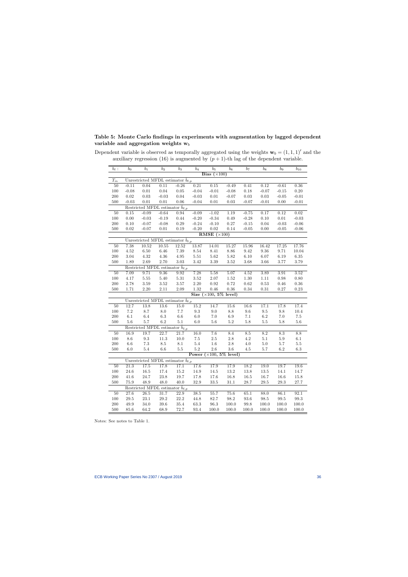# Table 5: Monte Carlo findings in experiments with augmentation by lagged dependent variable and aggregation weights  $w_b$

| $b_{\ell}$ :                                                          | $b_0$    | $b_1$    | $\overline{b}_2$                                 | $b_3$            | $\overline{b}_4$   | $b_5$                           | $b_6$           | $b_7$             | $b_8$      | $b_9$             | $b_{10}$   |  |
|-----------------------------------------------------------------------|----------|----------|--------------------------------------------------|------------------|--------------------|---------------------------------|-----------------|-------------------|------------|-------------------|------------|--|
|                                                                       |          |          |                                                  |                  |                    | Bias $(\times 100)$             |                 |                   |            |                   |            |  |
| $\mathcal{T}_m$                                                       |          |          | Unrestricted MFDL estimator $\tilde{b}_{\ell,p}$ |                  |                    |                                 |                 |                   |            |                   |            |  |
| 50                                                                    | $-0.11$  | 0.04     | 0.11                                             | $-0.26$          | 0.21               | 0.15                            | $-0.49$         | 0.41              | 0.12       | $-0.61$           | 0.36       |  |
| 100                                                                   | $-0.08$  | 0.01     | 0.04                                             | 0.05             | $-0.04$            | $-0.01$                         | $-0.08$         | $0.18\,$          | $-0.07$    | $-0.15$           | $0.20\,$   |  |
| 200                                                                   | 0.02     | 0.03     | $-0.03$                                          | 0.04             | $-0.03$            | $0.01\,$                        | $-0.07$         | 0.03              | $0.03\,$   | $-0.05$           | $-0.01$    |  |
| 500                                                                   | $-0.03$  | 0.01     | 0.01                                             | 0.06             | $-0.04$            | 0.01                            | 0.03            | $-0.07$           | $-0.01$    | 0.00              | $-0.01$    |  |
| Restricted MFDL estimator $b_{\ell,p}$                                |          |          |                                                  |                  |                    |                                 |                 |                   |            |                   |            |  |
| 50                                                                    | 0.15     | $-0.09$  | $-0.64$                                          | 0.94             | $-0.09$            | $-1.02$                         | 1.19            | $-0.75$           | 0.17       | 0.12              | 0.02       |  |
| $100\,$                                                               | 0.00     | $-0.03$  | $-0.19$                                          | $0.44\,$         | $-0.20$            | $-0.34$                         | $0.49\,$        | $-0.28$           | 0.10       | 0.01              | $-0.03$    |  |
| 200                                                                   | $0.10\,$ | $-0.07$  | $-0.08$                                          | $0.29\,$         | $-0.24$            | $-0.10$                         | $0.27\,$        | $-0.15$           | $0.04\,$   | $-0.03$           | $-0.06$    |  |
| 500                                                                   | $0.02\,$ | $-0.07$  | $0.01\,$                                         | $0.19\,$         | $-0.20$            | $0.02\,$                        | 0.14            | $-0.05$           | 0.00       | $-0.05$           | $-0.06$    |  |
| RMSE $(\times 100)$<br>Unrestricted MFDL estimator $\hat{b}_{\ell,p}$ |          |          |                                                  |                  |                    |                                 |                 |                   |            |                   |            |  |
|                                                                       |          |          |                                                  |                  |                    |                                 |                 |                   |            |                   |            |  |
| 50                                                                    | 7.38     | 10.52    | 10.55                                            | 12.52            | $\overline{13.87}$ | $14.01\,$                       | 15.27           | 15.96             | 16.42      | 17.25             | 17.76      |  |
| 100                                                                   | $4.52\,$ | $6.50\,$ | $6.46\,$                                         | $7.39\,$         | $8.54\,$           | $8.41\,$                        | $8.86\,$        | $\ \, 9.42$       | 9.36       | 9.71              | 10.04      |  |
| 200                                                                   | $3.04\,$ | 4.32     | 4.36                                             | 4.95             | $5.51\,$           | $5.62\,$                        | $5.82\,$        | 6.10              | 6.07       | 6.19              | 6.35       |  |
| 500                                                                   | 1.89     | 2.69     | 2.70                                             | 3.03             | 3.42               | $3.39\,$                        | $3.52\,$        | 3.68              | 3.66       | $3.77\,$          | $3.79\,$   |  |
|                                                                       | 7.09     | 9.71     | Restricted MFDL estimator $b_{\ell,p}$<br>9.36   |                  |                    |                                 | 5.07            |                   | 3.89       | 3.91              | 3.52       |  |
| 50<br>100                                                             | 4.17     | $5.55\,$ | 5.40                                             | 9.92<br>$5.31\,$ | 7.28<br>$3.52\,$   | 5.58<br>$2.07\,$                | $1.52\,$        | 4.52<br>$1.30\,$  | 1.11       | 0.98              | 0.80       |  |
| 200                                                                   | $2.78\,$ | $3.59\,$ | $3.52\,$                                         | $3.57\,$         | $2.20\,$           | 0.92                            | 0.72            | 0.62              | 0.53       | 0.46              | $0.36\,$   |  |
| 500                                                                   | 1.71     | $2.20\,$ | $2.11\,$                                         | $2.09\,$         | 1.32               | 0.46                            | $0.36\,$        | 0.34              | $0.31\,$   | $0.27\,$          | $\rm 0.23$ |  |
|                                                                       |          |          |                                                  |                  |                    | Size $(\times 100, 5\%$ level)  |                 |                   |            |                   |            |  |
|                                                                       |          |          | Unrestricted MFDL estimator $b_{\ell,p}$         |                  |                    |                                 |                 |                   |            |                   |            |  |
| 50                                                                    | 12.7     | 13.8     | 13.6                                             | 15.0             | 15.2               | 14.7                            | 15.6            | $\overline{16.6}$ | 17.1       | 17.8              | 17.4       |  |
| $100\,$                                                               | $7.2\,$  | $8.7\,$  | $8.0\,$                                          | $7.7\,$          | $\rm 9.3$          | $9.0\,$                         | $\!\!\!\!\!8.8$ | $9.6\,$           | $\ \, 9.5$ | $\,9.8$           | 10.4       |  |
| 200                                                                   | 6.1      | 6.4      | $6.3\,$                                          | $6.6\,$          | $6.0\,$            | $7.0\,$                         | $6.9\,$         | 7.1               | $6.2\,$    | 7.0               | $7.5\,$    |  |
| 500                                                                   | 5.6      | 5.7      | 6.2                                              | 5.1              | 6.0                | 5.6                             | 5.2             | 5.8               | $5.5\,$    | 5.8               | 5.6        |  |
|                                                                       |          |          | Restricted MFDL estimator $\tilde{b}_{\ell,p}$   |                  |                    |                                 |                 |                   |            |                   |            |  |
| 50                                                                    | 16.9     | 19.7     | 22.7                                             | 21.7             | $\overline{16.0}$  | $\overline{7.6}$                | 8.4             | 8.5               | 8.2        | 8.3               | 8.8        |  |
| 100                                                                   | 8.6      | 9.3      | 11.3                                             | 10.0             | $7.5\,$            | $2.5\,$                         | $2.8\,$         | $4.2\,$           | 5.1        | 5.9               | $6.1\,$    |  |
| 200                                                                   | $6.6\,$  | $7.3\,$  | $\!\!\!\!\!8.5$                                  | $8.1\,$          | $5.4\,$            | $1.6\,$                         | $2.8\,$         | 4.0               | 5.0        | 5.7               | $5.5\,$    |  |
| 500                                                                   | 6.0      | $5.4\,$  | $6.6\,$                                          | $5.5\,$          | $5.2\,$            | $2.6\,$                         | $3.6\,$         | $4.5\,$           | $5.7\,$    | 6.2               | $6.3\,$    |  |
|                                                                       |          |          |                                                  |                  |                    | Power $(\times 100, 5\%$ level) |                 |                   |            |                   |            |  |
|                                                                       |          |          | Unrestricted MFDL estimator $\hat{b}_{\ell,p}$   |                  |                    |                                 |                 |                   |            |                   |            |  |
| 50                                                                    | 21.3     | 17.5     | 17.8                                             | 17.1             | 17.6               | 17.9                            | 17.9            | 18.2              | 19.0       | $\overline{19.7}$ | 19.6       |  |
| 100                                                                   | 24.6     | $16.5\,$ | 17.4                                             | $15.2\,$         | 14.9               | $14.5\,$                        | $13.2\,$        | 13.8              | $13.5\,$   | $14.1\,$          | 14.7       |  |
| 200                                                                   | 41.6     | 24.7     | 23.8                                             | 19.7             | 17.8               | $17.6\,$                        | $16.8\,$        | 16.5              | 16.7       | 16.6              | 15.8       |  |
| 500                                                                   | 75.9     | 48.9     | 48.0                                             | 40.0             | 32.9               | $33.5\,$                        | $31.1\,$        | $28.7\,$          | $29.5\,$   | $29.3\,$          | 27.7       |  |
|                                                                       |          |          | Restricted MFDL estimator $\tilde{b}_{\ell,p}$   |                  |                    |                                 |                 |                   |            |                   |            |  |
| 50                                                                    | 27.6     | 26.5     | 31.7                                             | 22.9             | 38.5               | 55.7                            | 75.6            | 65.1              | 88.0       | 86.1              | 92.1       |  |
| 100                                                                   | $29.5\,$ | $23.1\,$ | 29.2                                             | $22.2\,$         | 44.8               | 82.7                            | $98.2\,$        | $93.6\,$          | $98.5\,$   | 99.5              | 99.3       |  |
| 200                                                                   | $49.9\,$ | $34.0\,$ | $39.6\,$                                         | $35.4\,$         | $63.3\,$           | $96.3\,$                        | $100.0\,$       | 99.8              | 100.0      | 100.0             | 100.0      |  |
| 500                                                                   | 85.6     | 64.2     | 68.9                                             | 72.7             | 93.4               | $100.0\,$                       | 100.0           | 100.0             | 100.0      | 100.0             | 100.0      |  |

Dependent variable is observed as temporally aggregated using the weights  $\mathbf{w}_b = (1, 1, 1)^\prime$  and the auxiliary regression (16) is augmented by  $(p+1)$ -th lag of the dependent variable.

Notes: See notes to Table 1.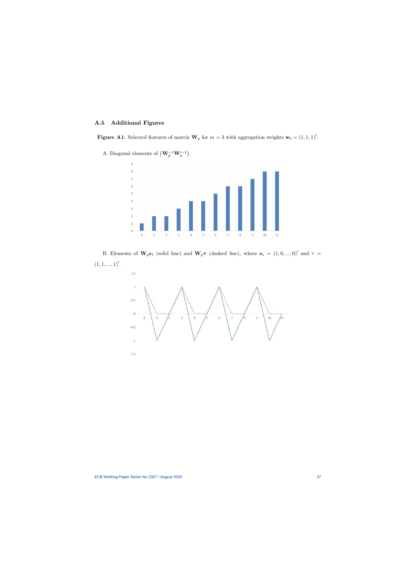# A.5 Additional Figures

**Figure A1**: Selected features of matrix  $W_p$  for  $m = 3$  with aggregation weights  $w_b = (1, 1, 1)'.$ 

A. Diagonal elements of  $(\mathbf{W}_p^{-1}\mathbf{W}_p'^{-1})$ .



B. Elements of  $W_p s_1$  (solid line) and  $W_p \tau$  (dashed line), where  $s_1 = (1, 0, ..., 0)'$  and  $\tau =$  $(1, 1, ..., 1)'.$ 

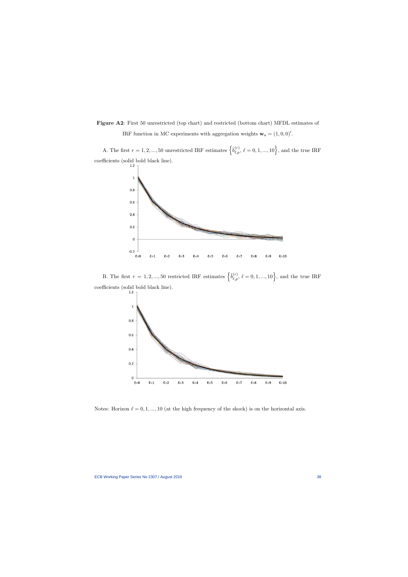Figure A2: First 50 unrestricted (top chart) and restricted (bottom chart) MFDL estimates of IRF function in MC experiments with aggregation weights  $\mathbf{w}_a = (1, 0, 0)'.$ 

A. The first  $r = 1, 2, ..., 50$  unrestricted IRF estimates  $\left\{\hat{b}_{\ell,p}^{(r)}, \ell=0,1,...,10\right\}$ , and the true IRF coefficients (solid bold black line).



B. The first  $r = 1, 2, ..., 50$  restricted IRF estimates  $\left\{ \tilde{b}_{\ell,p}^{(r)}, \ell = 0, 1, ..., 10 \right\}$ , and the true IRF coefficients (solid bold black line).



Notes: Horizon  $\ell = 0, 1, ..., 10$  (at the high frequency of the shock) is on the horizontal axis.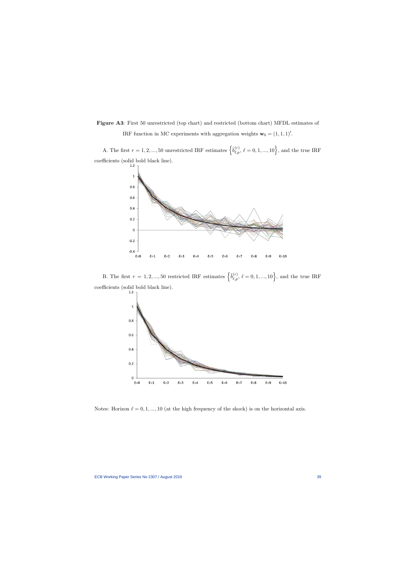Figure A3: First 50 unrestricted (top chart) and restricted (bottom chart) MFDL estimates of IRF function in MC experiments with aggregation weights  $\mathbf{w}_b = (1, 1, 1)'.$ 

A. The first  $r = 1, 2, ..., 50$  unrestricted IRF estimates  $\left\{\hat{b}_{\ell,p}^{(r)}, \ell=0,1,...,10\right\}$ , and the true IRF coefficients (solid bold black line).



B. The first  $r = 1, 2, ..., 50$  restricted IRF estimates  $\left\{ \tilde{b}_{\ell,p}^{(r)}, \ell = 0, 1, ..., 10 \right\}$ , and the true IRF coefficients (solid bold black line).



Notes: Horizon  $\ell = 0, 1, ..., 10$  (at the high frequency of the shock) is on the horizontal axis.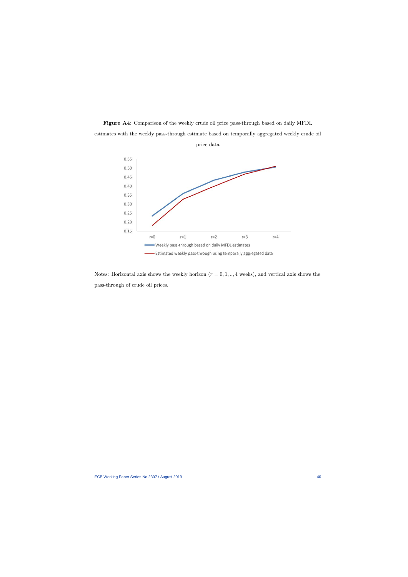Figure A4: Comparison of the weekly crude oil price pass-through based on daily MFDL estimates with the weekly pass-through estimate based on temporally aggregated weekly crude oil price data



Notes: Horizontal axis shows the weekly horizon  $(r = 0, 1, \ldots, 4$  weeks), and vertical axis shows the pass-through of crude oil prices.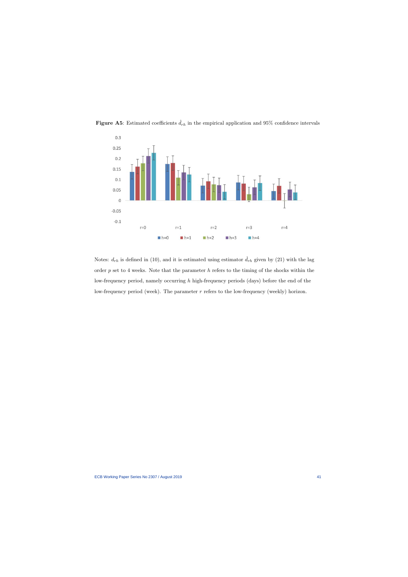

Figure A5: Estimated coefficients  $\hat{d}_{rh}$  in the empirical application and 95% confidence intervals

Notes:  $d_{rh}$  is defined in (10), and it is estimated using estimator  $\hat{d}_{rh}$  given by (21) with the lag order  $p$  set to 4 weeks. Note that the parameter  $h$  refers to the timing of the shocks within the low-frequency period, namely occurring h high-frequency periods (days) before the end of the low-frequency period (week). The parameter  $r$  refers to the low-frequency (weekly) horizon.